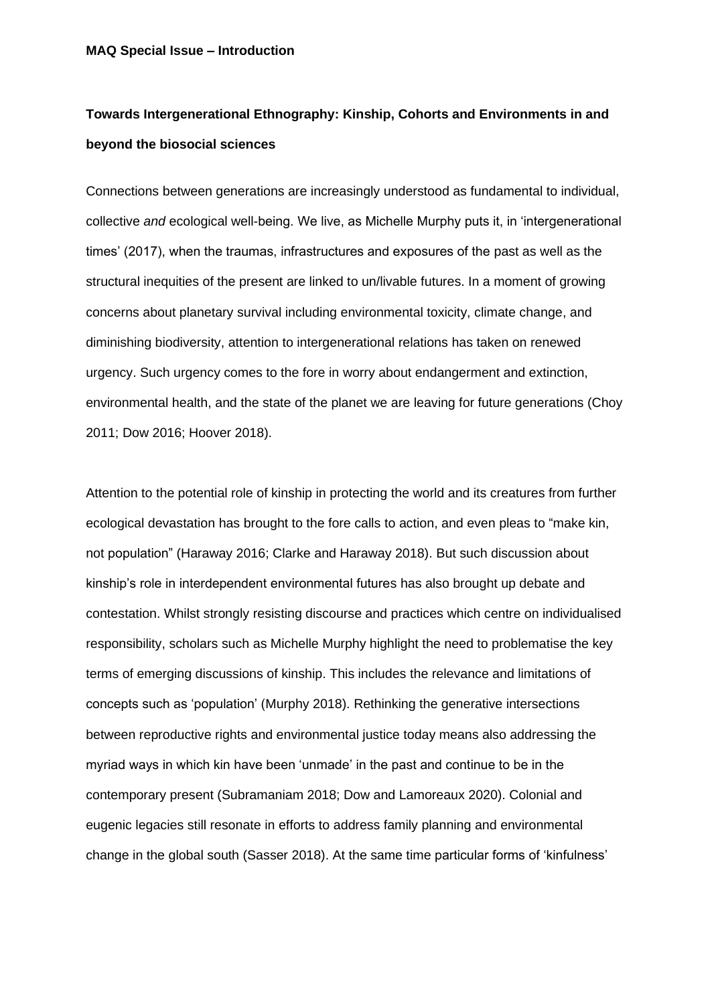# **Towards Intergenerational Ethnography: Kinship, Cohorts and Environments in and beyond the biosocial sciences**

Connections between generations are increasingly understood as fundamental to individual, collective *and* ecological well-being. We live, as Michelle Murphy puts it, in 'intergenerational times' (2017), when the traumas, infrastructures and exposures of the past as well as the structural inequities of the present are linked to un/livable futures. In a moment of growing concerns about planetary survival including environmental toxicity, climate change, and diminishing biodiversity, attention to intergenerational relations has taken on renewed urgency. Such urgency comes to the fore in worry about endangerment and extinction, environmental health, and the state of the planet we are leaving for future generations (Choy 2011; Dow 2016; Hoover 2018).

Attention to the potential role of kinship in protecting the world and its creatures from further ecological devastation has brought to the fore calls to action, and even pleas to "make kin, not population" (Haraway 2016; Clarke and Haraway 2018). But such discussion about kinship's role in interdependent environmental futures has also brought up debate and contestation. Whilst strongly resisting discourse and practices which centre on individualised responsibility, scholars such as Michelle Murphy highlight the need to problematise the key terms of emerging discussions of kinship. This includes the relevance and limitations of concepts such as 'population' (Murphy 2018). Rethinking the generative intersections between reproductive rights and environmental justice today means also addressing the myriad ways in which kin have been 'unmade' in the past and continue to be in the contemporary present (Subramaniam 2018; Dow and Lamoreaux 2020). Colonial and eugenic legacies still resonate in efforts to address family planning and environmental change in the global south (Sasser 2018). At the same time particular forms of 'kinfulness'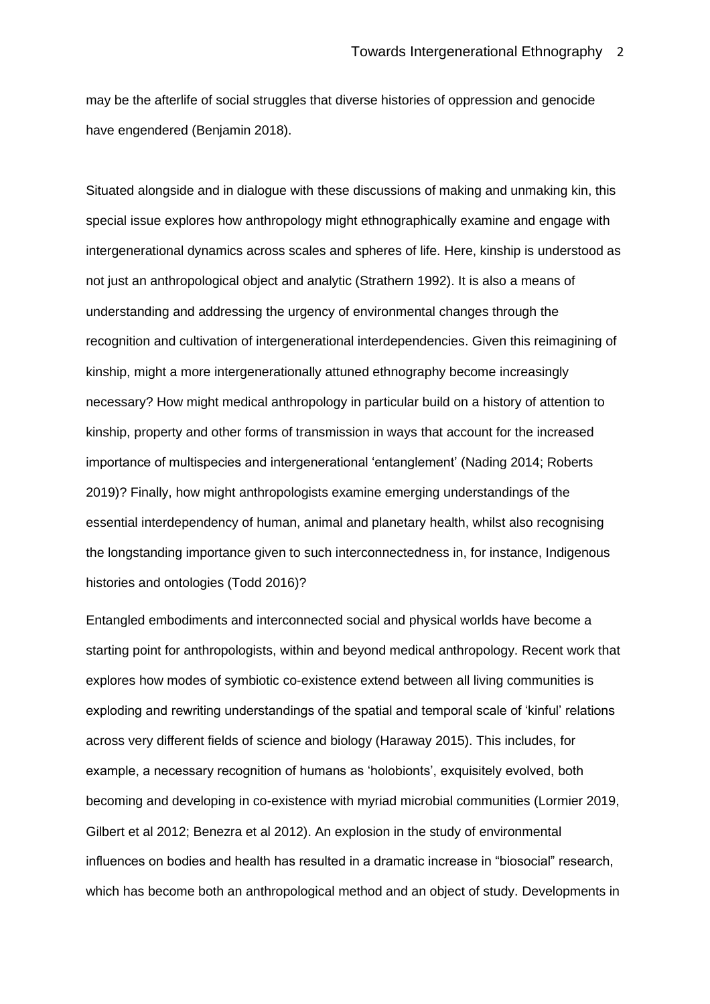may be the afterlife of social struggles that diverse histories of oppression and genocide have engendered (Benjamin 2018).

Situated alongside and in dialogue with these discussions of making and unmaking kin, this special issue explores how anthropology might ethnographically examine and engage with intergenerational dynamics across scales and spheres of life. Here, kinship is understood as not just an anthropological object and analytic (Strathern 1992). It is also a means of understanding and addressing the urgency of environmental changes through the recognition and cultivation of intergenerational interdependencies. Given this reimagining of kinship, might a more intergenerationally attuned ethnography become increasingly necessary? How might medical anthropology in particular build on a history of attention to kinship, property and other forms of transmission in ways that account for the increased importance of multispecies and intergenerational 'entanglement' (Nading 2014; Roberts 2019)? Finally, how might anthropologists examine emerging understandings of the essential interdependency of human, animal and planetary health, whilst also recognising the longstanding importance given to such interconnectedness in, for instance, Indigenous histories and ontologies (Todd 2016)?

Entangled embodiments and interconnected social and physical worlds have become a starting point for anthropologists, within and beyond medical anthropology. Recent work that explores how modes of symbiotic co-existence extend between all living communities is exploding and rewriting understandings of the spatial and temporal scale of 'kinful' relations across very different fields of science and biology (Haraway 2015). This includes, for example, a necessary recognition of humans as 'holobionts', exquisitely evolved, both becoming and developing in co-existence with myriad microbial communities (Lormier 2019, Gilbert et al 2012; Benezra et al 2012). An explosion in the study of environmental influences on bodies and health has resulted in a dramatic increase in "biosocial" research, which has become both an anthropological method and an object of study. Developments in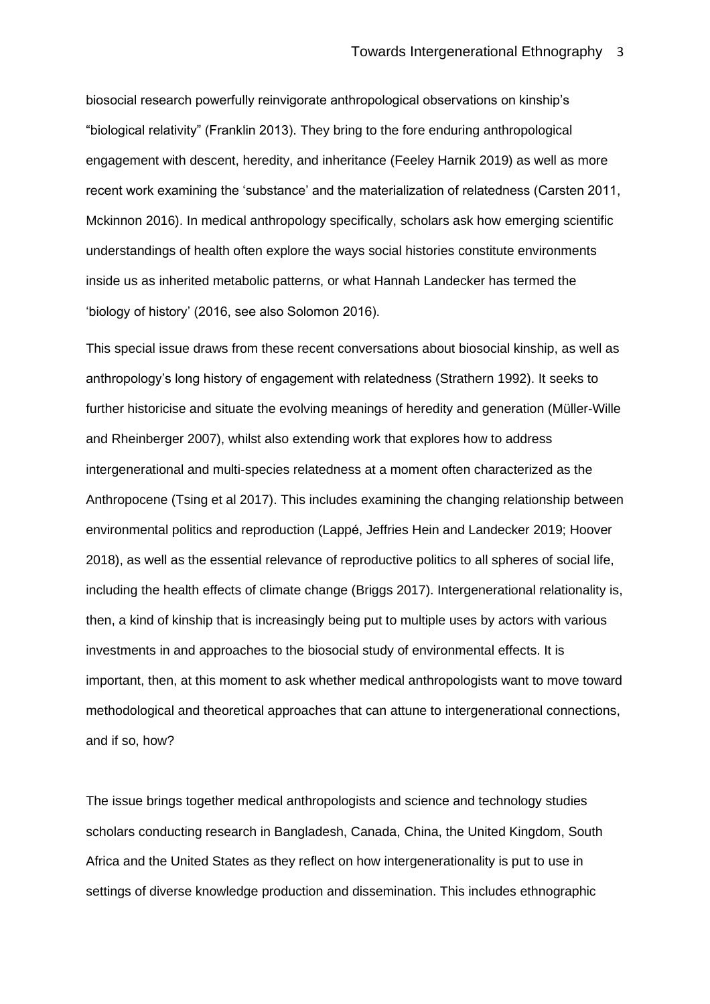biosocial research powerfully reinvigorate anthropological observations on kinship's "biological relativity" (Franklin 2013). They bring to the fore enduring anthropological engagement with descent, heredity, and inheritance (Feeley Harnik 2019) as well as more recent work examining the 'substance' and the materialization of relatedness (Carsten 2011, Mckinnon 2016). In medical anthropology specifically, scholars ask how emerging scientific understandings of health often explore the ways social histories constitute environments inside us as inherited metabolic patterns, or what Hannah Landecker has termed the 'biology of history' (2016, see also Solomon 2016).

This special issue draws from these recent conversations about biosocial kinship, as well as anthropology's long history of engagement with relatedness (Strathern 1992). It seeks to further historicise and situate the evolving meanings of heredity and generation (Müller-Wille and Rheinberger 2007), whilst also extending work that explores how to address intergenerational and multi-species relatedness at a moment often characterized as the Anthropocene (Tsing et al 2017). This includes examining the changing relationship between environmental politics and reproduction (Lappé, Jeffries Hein and Landecker 2019; Hoover 2018), as well as the essential relevance of reproductive politics to all spheres of social life, including the health effects of climate change (Briggs 2017). Intergenerational relationality is, then, a kind of kinship that is increasingly being put to multiple uses by actors with various investments in and approaches to the biosocial study of environmental effects. It is important, then, at this moment to ask whether medical anthropologists want to move toward methodological and theoretical approaches that can attune to intergenerational connections, and if so, how?

The issue brings together medical anthropologists and science and technology studies scholars conducting research in Bangladesh, Canada, China, the United Kingdom, South Africa and the United States as they reflect on how intergenerationality is put to use in settings of diverse knowledge production and dissemination. This includes ethnographic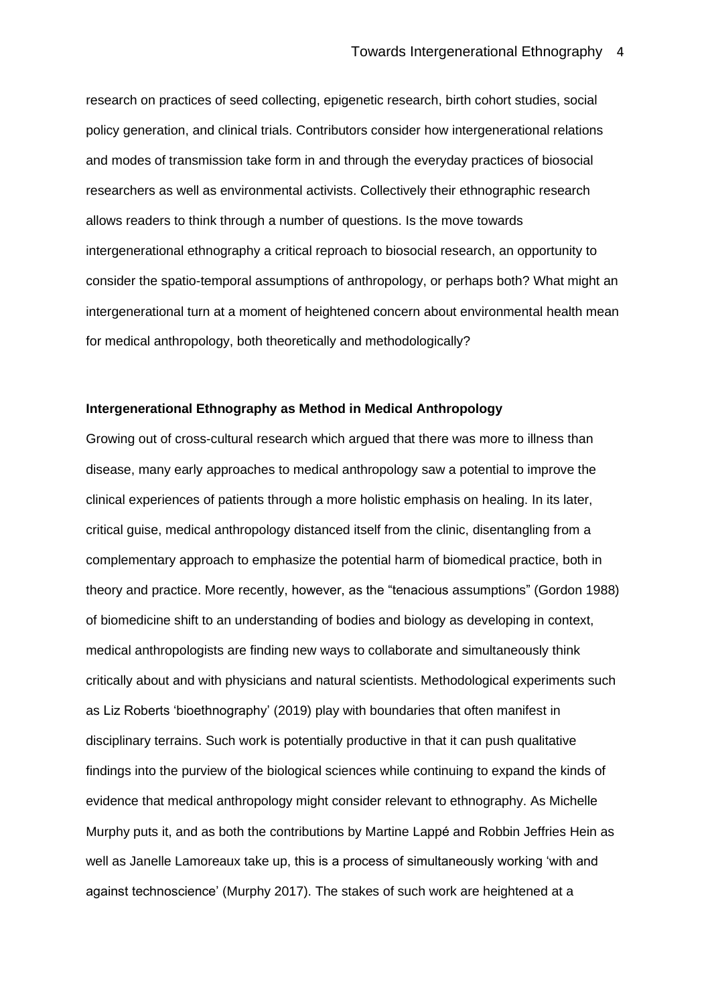research on practices of seed collecting, epigenetic research, birth cohort studies, social policy generation, and clinical trials. Contributors consider how intergenerational relations and modes of transmission take form in and through the everyday practices of biosocial researchers as well as environmental activists. Collectively their ethnographic research allows readers to think through a number of questions. Is the move towards intergenerational ethnography a critical reproach to biosocial research, an opportunity to consider the spatio-temporal assumptions of anthropology, or perhaps both? What might an intergenerational turn at a moment of heightened concern about environmental health mean for medical anthropology, both theoretically and methodologically?

## **Intergenerational Ethnography as Method in Medical Anthropology**

Growing out of cross-cultural research which argued that there was more to illness than disease, many early approaches to medical anthropology saw a potential to improve the clinical experiences of patients through a more holistic emphasis on healing. In its later, critical guise, medical anthropology distanced itself from the clinic, disentangling from a complementary approach to emphasize the potential harm of biomedical practice, both in theory and practice. More recently, however, as the "tenacious assumptions" (Gordon 1988) of biomedicine shift to an understanding of bodies and biology as developing in context, medical anthropologists are finding new ways to collaborate and simultaneously think critically about and with physicians and natural scientists. Methodological experiments such as Liz Roberts 'bioethnography' (2019) play with boundaries that often manifest in disciplinary terrains. Such work is potentially productive in that it can push qualitative findings into the purview of the biological sciences while continuing to expand the kinds of evidence that medical anthropology might consider relevant to ethnography. As Michelle Murphy puts it, and as both the contributions by Martine Lappé and Robbin Jeffries Hein as well as Janelle Lamoreaux take up, this is a process of simultaneously working 'with and against technoscience' (Murphy 2017). The stakes of such work are heightened at a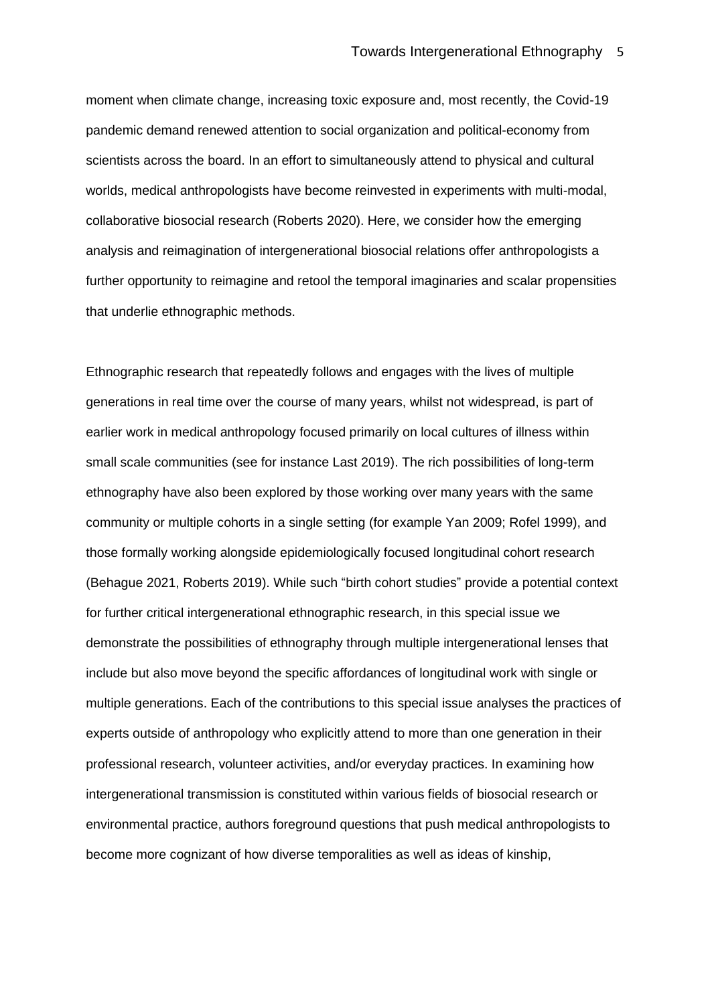moment when climate change, increasing toxic exposure and, most recently, the Covid-19 pandemic demand renewed attention to social organization and political-economy from scientists across the board. In an effort to simultaneously attend to physical and cultural worlds, medical anthropologists have become reinvested in experiments with multi-modal, collaborative biosocial research (Roberts 2020). Here, we consider how the emerging analysis and reimagination of intergenerational biosocial relations offer anthropologists a further opportunity to reimagine and retool the temporal imaginaries and scalar propensities that underlie ethnographic methods.

Ethnographic research that repeatedly follows and engages with the lives of multiple generations in real time over the course of many years, whilst not widespread, is part of earlier work in medical anthropology focused primarily on local cultures of illness within small scale communities (see for instance Last 2019). The rich possibilities of long-term ethnography have also been explored by those working over many years with the same community or multiple cohorts in a single setting (for example Yan 2009; Rofel 1999), and those formally working alongside epidemiologically focused longitudinal cohort research (Behague 2021, Roberts 2019). While such "birth cohort studies" provide a potential context for further critical intergenerational ethnographic research, in this special issue we demonstrate the possibilities of ethnography through multiple intergenerational lenses that include but also move beyond the specific affordances of longitudinal work with single or multiple generations. Each of the contributions to this special issue analyses the practices of experts outside of anthropology who explicitly attend to more than one generation in their professional research, volunteer activities, and/or everyday practices. In examining how intergenerational transmission is constituted within various fields of biosocial research or environmental practice, authors foreground questions that push medical anthropologists to become more cognizant of how diverse temporalities as well as ideas of kinship,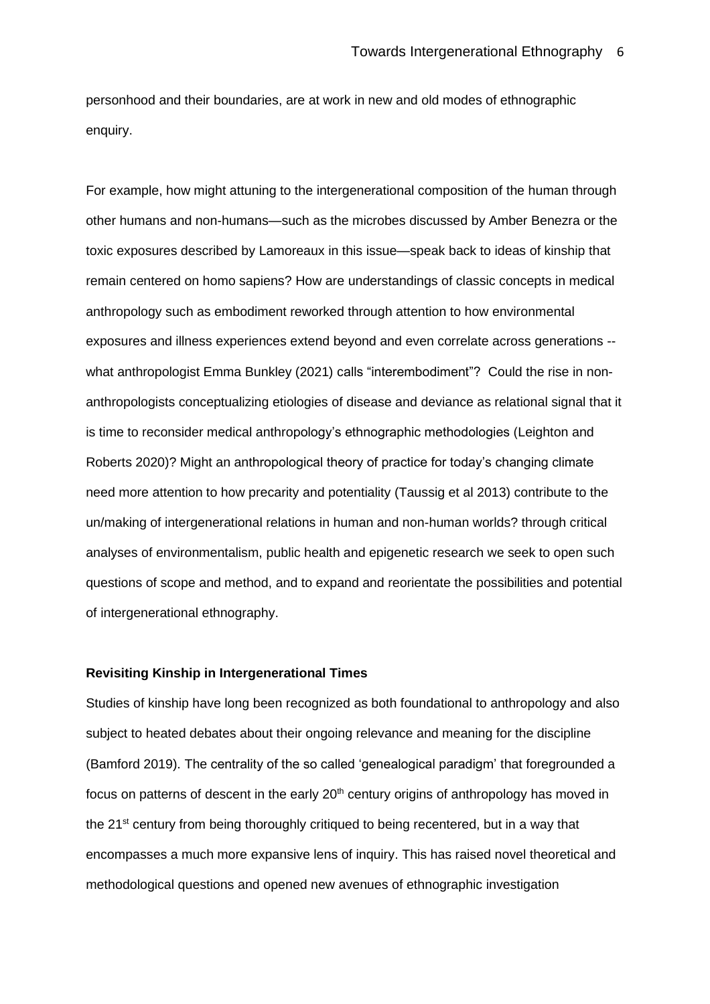personhood and their boundaries, are at work in new and old modes of ethnographic enquiry.

For example, how might attuning to the intergenerational composition of the human through other humans and non-humans—such as the microbes discussed by Amber Benezra or the toxic exposures described by Lamoreaux in this issue—speak back to ideas of kinship that remain centered on homo sapiens? How are understandings of classic concepts in medical anthropology such as embodiment reworked through attention to how environmental exposures and illness experiences extend beyond and even correlate across generations - what anthropologist Emma Bunkley (2021) calls "interembodiment"? Could the rise in nonanthropologists conceptualizing etiologies of disease and deviance as relational signal that it is time to reconsider medical anthropology's ethnographic methodologies (Leighton and Roberts 2020)? Might an anthropological theory of practice for today's changing climate need more attention to how precarity and potentiality (Taussig et al 2013) contribute to the un/making of intergenerational relations in human and non-human worlds? through critical analyses of environmentalism, public health and epigenetic research we seek to open such questions of scope and method, and to expand and reorientate the possibilities and potential of intergenerational ethnography.

## **Revisiting Kinship in Intergenerational Times**

Studies of kinship have long been recognized as both foundational to anthropology and also subject to heated debates about their ongoing relevance and meaning for the discipline (Bamford 2019). The centrality of the so called 'genealogical paradigm' that foregrounded a focus on patterns of descent in the early  $20<sup>th</sup>$  century origins of anthropology has moved in the 21<sup>st</sup> century from being thoroughly critiqued to being recentered, but in a way that encompasses a much more expansive lens of inquiry. This has raised novel theoretical and methodological questions and opened new avenues of ethnographic investigation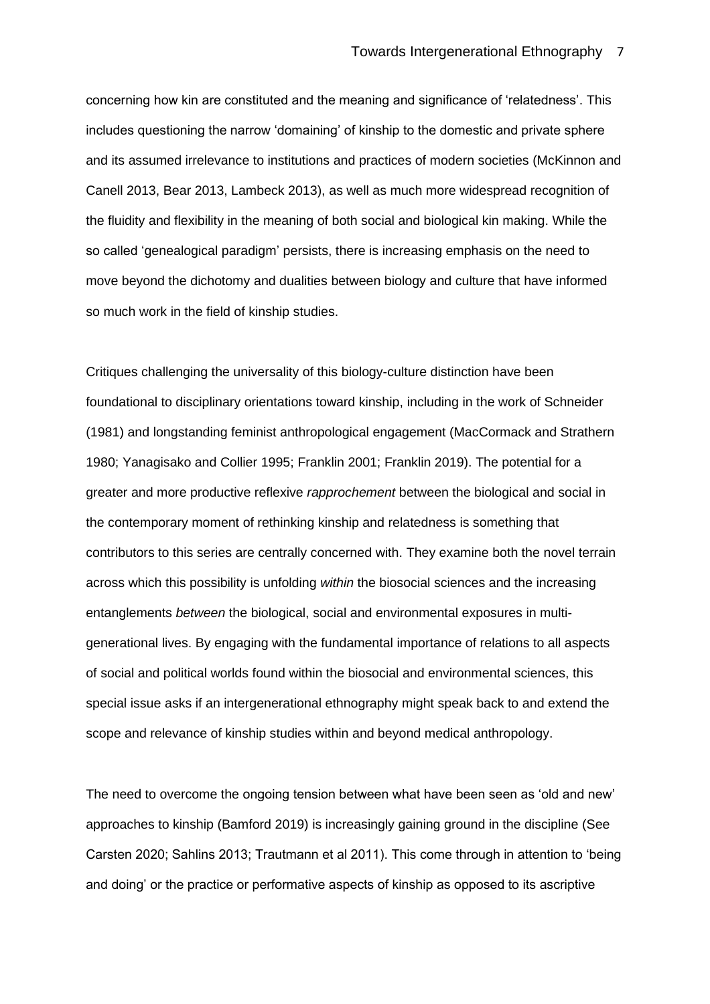concerning how kin are constituted and the meaning and significance of 'relatedness'. This includes questioning the narrow 'domaining' of kinship to the domestic and private sphere and its assumed irrelevance to institutions and practices of modern societies (McKinnon and Canell 2013, Bear 2013, Lambeck 2013), as well as much more widespread recognition of the fluidity and flexibility in the meaning of both social and biological kin making. While the so called 'genealogical paradigm' persists, there is increasing emphasis on the need to move beyond the dichotomy and dualities between biology and culture that have informed so much work in the field of kinship studies.

Critiques challenging the universality of this biology-culture distinction have been foundational to disciplinary orientations toward kinship, including in the work of Schneider (1981) and longstanding feminist anthropological engagement (MacCormack and Strathern 1980; Yanagisako and Collier 1995; Franklin 2001; Franklin 2019). The potential for a greater and more productive reflexive *rapprochement* between the biological and social in the contemporary moment of rethinking kinship and relatedness is something that contributors to this series are centrally concerned with. They examine both the novel terrain across which this possibility is unfolding *within* the biosocial sciences and the increasing entanglements *between* the biological, social and environmental exposures in multigenerational lives. By engaging with the fundamental importance of relations to all aspects of social and political worlds found within the biosocial and environmental sciences, this special issue asks if an intergenerational ethnography might speak back to and extend the scope and relevance of kinship studies within and beyond medical anthropology.

The need to overcome the ongoing tension between what have been seen as 'old and new' approaches to kinship (Bamford 2019) is increasingly gaining ground in the discipline (See Carsten 2020; Sahlins 2013; Trautmann et al 2011). This come through in attention to 'being and doing' or the practice or performative aspects of kinship as opposed to its ascriptive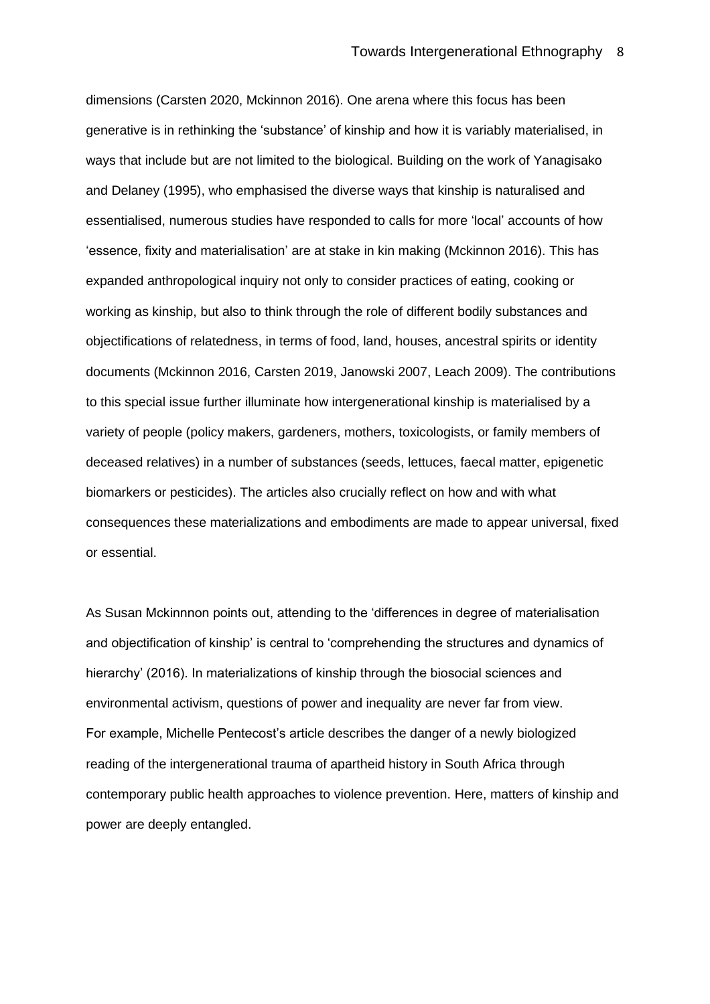dimensions (Carsten 2020, Mckinnon 2016). One arena where this focus has been generative is in rethinking the 'substance' of kinship and how it is variably materialised, in ways that include but are not limited to the biological. Building on the work of Yanagisako and Delaney (1995), who emphasised the diverse ways that kinship is naturalised and essentialised, numerous studies have responded to calls for more 'local' accounts of how 'essence, fixity and materialisation' are at stake in kin making (Mckinnon 2016). This has expanded anthropological inquiry not only to consider practices of eating, cooking or working as kinship, but also to think through the role of different bodily substances and objectifications of relatedness, in terms of food, land, houses, ancestral spirits or identity documents (Mckinnon 2016, Carsten 2019, Janowski 2007, Leach 2009). The contributions to this special issue further illuminate how intergenerational kinship is materialised by a variety of people (policy makers, gardeners, mothers, toxicologists, or family members of deceased relatives) in a number of substances (seeds, lettuces, faecal matter, epigenetic biomarkers or pesticides). The articles also crucially reflect on how and with what consequences these materializations and embodiments are made to appear universal, fixed or essential.

As Susan Mckinnnon points out, attending to the 'differences in degree of materialisation and objectification of kinship' is central to 'comprehending the structures and dynamics of hierarchy' (2016). In materializations of kinship through the biosocial sciences and environmental activism, questions of power and inequality are never far from view. For example, Michelle Pentecost's article describes the danger of a newly biologized reading of the intergenerational trauma of apartheid history in South Africa through contemporary public health approaches to violence prevention. Here, matters of kinship and power are deeply entangled.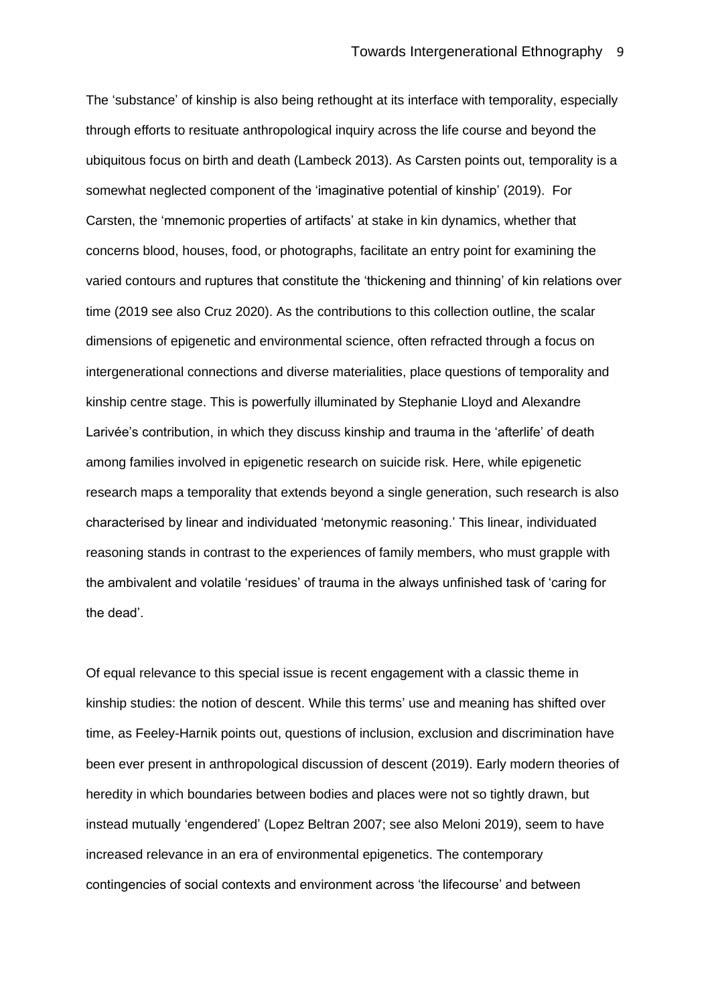The 'substance' of kinship is also being rethought at its interface with temporality, especially through efforts to resituate anthropological inquiry across the life course and beyond the ubiquitous focus on birth and death (Lambeck 2013). As Carsten points out, temporality is a somewhat neglected component of the 'imaginative potential of kinship' (2019). For Carsten, the 'mnemonic properties of artifacts' at stake in kin dynamics, whether that concerns blood, houses, food, or photographs, facilitate an entry point for examining the varied contours and ruptures that constitute the 'thickening and thinning' of kin relations over time (2019 see also Cruz 2020). As the contributions to this collection outline, the scalar dimensions of epigenetic and environmental science, often refracted through a focus on intergenerational connections and diverse materialities, place questions of temporality and kinship centre stage. This is powerfully illuminated by Stephanie Lloyd and Alexandre Larivée's contribution, in which they discuss kinship and trauma in the 'afterlife' of death among families involved in epigenetic research on suicide risk. Here, while epigenetic research maps a temporality that extends beyond a single generation, such research is also characterised by linear and individuated 'metonymic reasoning.' This linear, individuated reasoning stands in contrast to the experiences of family members, who must grapple with the ambivalent and volatile 'residues' of trauma in the always unfinished task of 'caring for the dead'.

Of equal relevance to this special issue is recent engagement with a classic theme in kinship studies: the notion of descent. While this terms' use and meaning has shifted over time, as Feeley-Harnik points out, questions of inclusion, exclusion and discrimination have been ever present in anthropological discussion of descent (2019). Early modern theories of heredity in which boundaries between bodies and places were not so tightly drawn, but instead mutually 'engendered' (Lopez Beltran 2007; see also Meloni 2019), seem to have increased relevance in an era of environmental epigenetics. The contemporary contingencies of social contexts and environment across 'the lifecourse' and between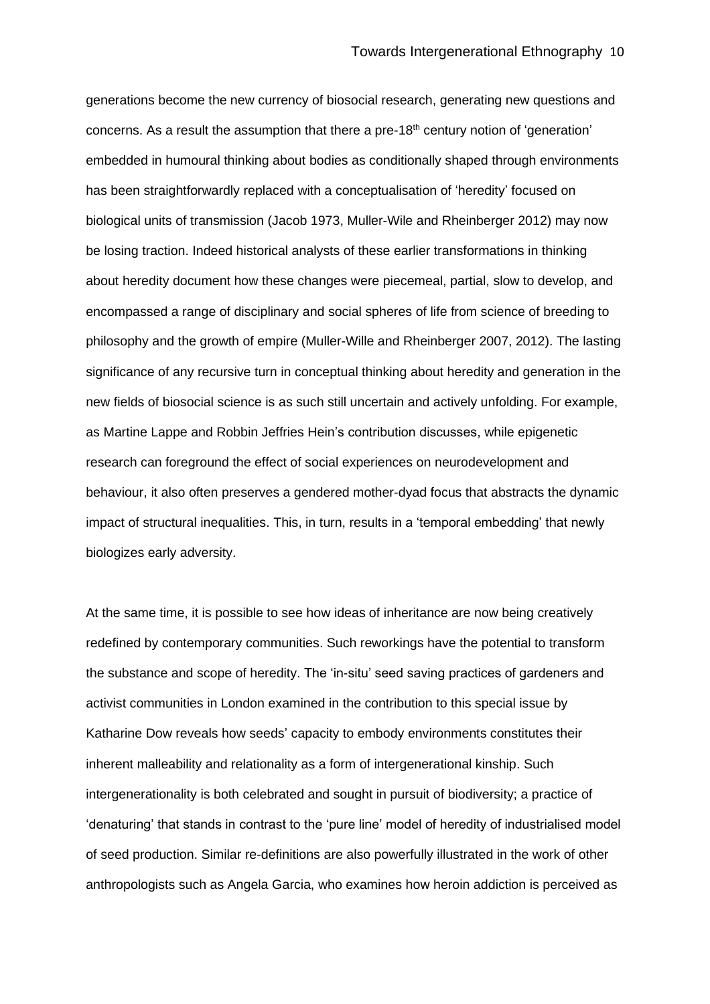generations become the new currency of biosocial research, generating new questions and concerns. As a result the assumption that there a pre-18<sup>th</sup> century notion of 'generation' embedded in humoural thinking about bodies as conditionally shaped through environments has been straightforwardly replaced with a conceptualisation of 'heredity' focused on biological units of transmission (Jacob 1973, Muller-Wile and Rheinberger 2012) may now be losing traction. Indeed historical analysts of these earlier transformations in thinking about heredity document how these changes were piecemeal, partial, slow to develop, and encompassed a range of disciplinary and social spheres of life from science of breeding to philosophy and the growth of empire (Muller-Wille and Rheinberger 2007, 2012). The lasting significance of any recursive turn in conceptual thinking about heredity and generation in the new fields of biosocial science is as such still uncertain and actively unfolding. For example, as Martine Lappe and Robbin Jeffries Hein's contribution discusses, while epigenetic research can foreground the effect of social experiences on neurodevelopment and behaviour, it also often preserves a gendered mother-dyad focus that abstracts the dynamic impact of structural inequalities. This, in turn, results in a 'temporal embedding' that newly biologizes early adversity.

At the same time, it is possible to see how ideas of inheritance are now being creatively redefined by contemporary communities. Such reworkings have the potential to transform the substance and scope of heredity. The 'in-situ' seed saving practices of gardeners and activist communities in London examined in the contribution to this special issue by Katharine Dow reveals how seeds' capacity to embody environments constitutes their inherent malleability and relationality as a form of intergenerational kinship. Such intergenerationality is both celebrated and sought in pursuit of biodiversity; a practice of 'denaturing' that stands in contrast to the 'pure line' model of heredity of industrialised model of seed production. Similar re-definitions are also powerfully illustrated in the work of other anthropologists such as Angela Garcia, who examines how heroin addiction is perceived as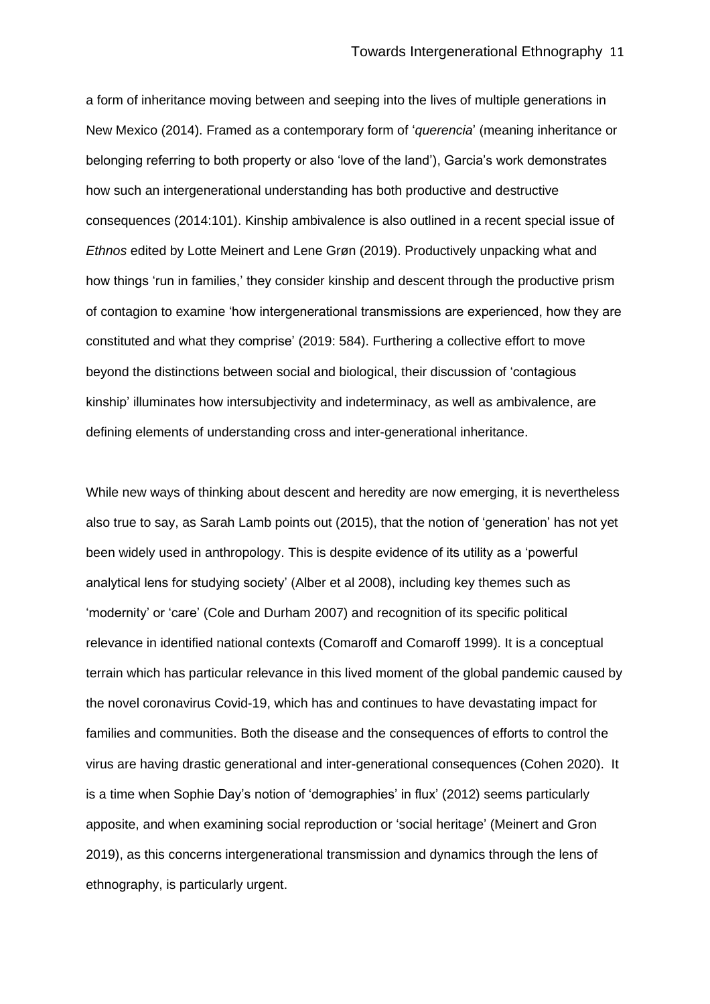a form of inheritance moving between and seeping into the lives of multiple generations in New Mexico (2014). Framed as a contemporary form of '*querencia*' (meaning inheritance or belonging referring to both property or also 'love of the land'), Garcia's work demonstrates how such an intergenerational understanding has both productive and destructive consequences (2014:101). Kinship ambivalence is also outlined in a recent special issue of *Ethnos* edited by Lotte Meinert and Lene Grøn (2019). Productively unpacking what and how things 'run in families,' they consider kinship and descent through the productive prism of contagion to examine 'how intergenerational transmissions are experienced, how they are constituted and what they comprise' (2019: 584). Furthering a collective effort to move beyond the distinctions between social and biological, their discussion of 'contagious kinship' illuminates how intersubjectivity and indeterminacy, as well as ambivalence, are defining elements of understanding cross and inter-generational inheritance.

While new ways of thinking about descent and heredity are now emerging, it is nevertheless also true to say, as Sarah Lamb points out (2015), that the notion of 'generation' has not yet been widely used in anthropology. This is despite evidence of its utility as a 'powerful analytical lens for studying society' (Alber et al 2008), including key themes such as 'modernity' or 'care' (Cole and Durham 2007) and recognition of its specific political relevance in identified national contexts (Comaroff and Comaroff 1999). It is a conceptual terrain which has particular relevance in this lived moment of the global pandemic caused by the novel coronavirus Covid-19, which has and continues to have devastating impact for families and communities. Both the disease and the consequences of efforts to control the virus are having drastic generational and inter-generational consequences (Cohen 2020). It is a time when Sophie Day's notion of 'demographies' in flux' (2012) seems particularly apposite, and when examining social reproduction or 'social heritage' (Meinert and Gron 2019), as this concerns intergenerational transmission and dynamics through the lens of ethnography, is particularly urgent.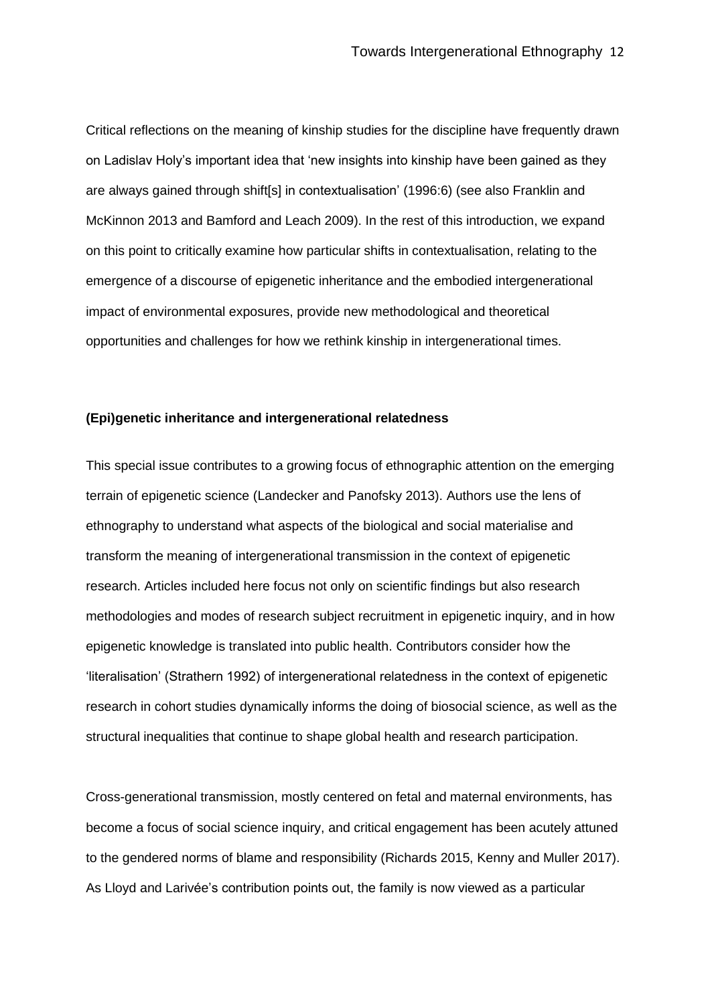Critical reflections on the meaning of kinship studies for the discipline have frequently drawn on Ladislav Holy's important idea that 'new insights into kinship have been gained as they are always gained through shift[s] in contextualisation' (1996:6) (see also Franklin and McKinnon 2013 and Bamford and Leach 2009). In the rest of this introduction, we expand on this point to critically examine how particular shifts in contextualisation, relating to the emergence of a discourse of epigenetic inheritance and the embodied intergenerational impact of environmental exposures, provide new methodological and theoretical opportunities and challenges for how we rethink kinship in intergenerational times.

## **(Epi)genetic inheritance and intergenerational relatedness**

This special issue contributes to a growing focus of ethnographic attention on the emerging terrain of epigenetic science (Landecker and Panofsky 2013). Authors use the lens of ethnography to understand what aspects of the biological and social materialise and transform the meaning of intergenerational transmission in the context of epigenetic research. Articles included here focus not only on scientific findings but also research methodologies and modes of research subject recruitment in epigenetic inquiry, and in how epigenetic knowledge is translated into public health. Contributors consider how the 'literalisation' (Strathern 1992) of intergenerational relatedness in the context of epigenetic research in cohort studies dynamically informs the doing of biosocial science, as well as the structural inequalities that continue to shape global health and research participation.

Cross-generational transmission, mostly centered on fetal and maternal environments, has become a focus of social science inquiry, and critical engagement has been acutely attuned to the gendered norms of blame and responsibility (Richards 2015, Kenny and Muller 2017). As Lloyd and Larivée's contribution points out, the family is now viewed as a particular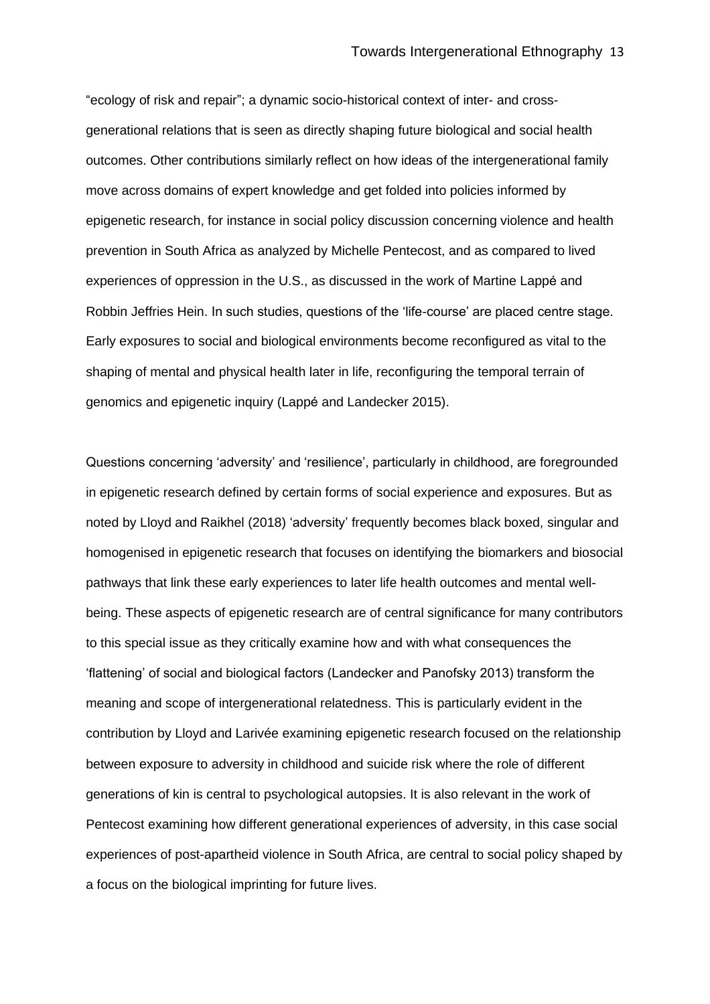"ecology of risk and repair"; a dynamic socio-historical context of inter- and crossgenerational relations that is seen as directly shaping future biological and social health outcomes. Other contributions similarly reflect on how ideas of the intergenerational family move across domains of expert knowledge and get folded into policies informed by epigenetic research, for instance in social policy discussion concerning violence and health prevention in South Africa as analyzed by Michelle Pentecost, and as compared to lived experiences of oppression in the U.S., as discussed in the work of Martine Lappé and Robbin Jeffries Hein. In such studies, questions of the 'life-course' are placed centre stage. Early exposures to social and biological environments become reconfigured as vital to the shaping of mental and physical health later in life, reconfiguring the temporal terrain of genomics and epigenetic inquiry (Lappé and Landecker 2015).

Questions concerning 'adversity' and 'resilience', particularly in childhood, are foregrounded in epigenetic research defined by certain forms of social experience and exposures. But as noted by Lloyd and Raikhel (2018) 'adversity' frequently becomes black boxed, singular and homogenised in epigenetic research that focuses on identifying the biomarkers and biosocial pathways that link these early experiences to later life health outcomes and mental wellbeing. These aspects of epigenetic research are of central significance for many contributors to this special issue as they critically examine how and with what consequences the 'flattening' of social and biological factors (Landecker and Panofsky 2013) transform the meaning and scope of intergenerational relatedness. This is particularly evident in the contribution by Lloyd and Larivée examining epigenetic research focused on the relationship between exposure to adversity in childhood and suicide risk where the role of different generations of kin is central to psychological autopsies. It is also relevant in the work of Pentecost examining how different generational experiences of adversity, in this case social experiences of post-apartheid violence in South Africa, are central to social policy shaped by a focus on the biological imprinting for future lives.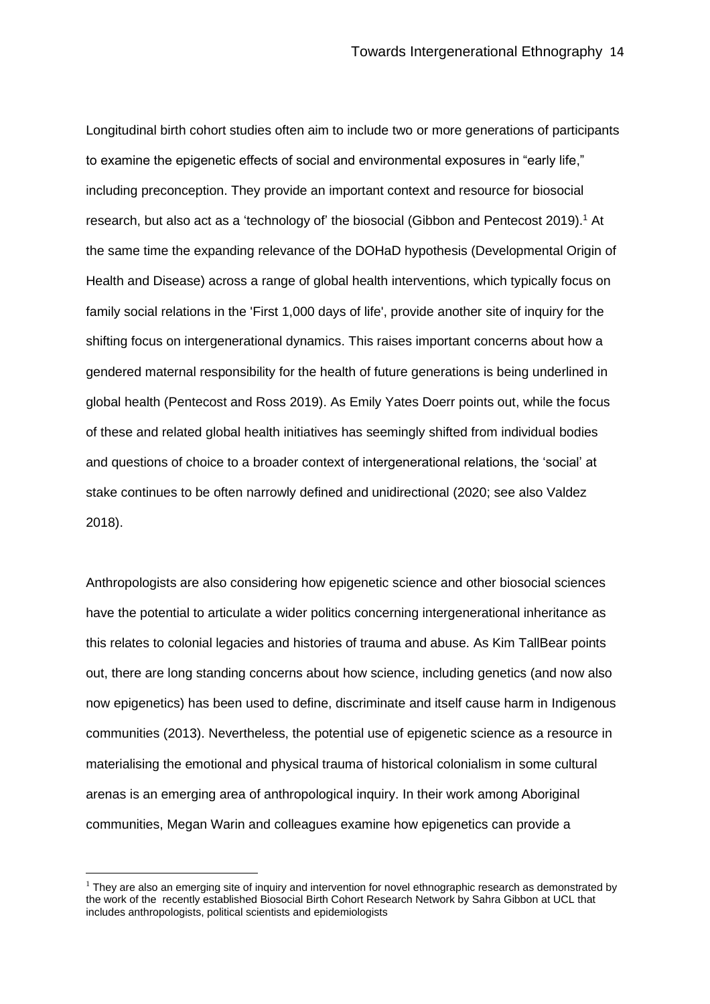Longitudinal birth cohort studies often aim to include two or more generations of participants to examine the epigenetic effects of social and environmental exposures in "early life," including preconception. They provide an important context and resource for biosocial research, but also act as a 'technology of' the biosocial (Gibbon and Pentecost 2019).<sup>1</sup> At the same time the expanding relevance of the DOHaD hypothesis (Developmental Origin of Health and Disease) across a range of global health interventions, which typically focus on family social relations in the 'First 1,000 days of life', provide another site of inquiry for the shifting focus on intergenerational dynamics. This raises important concerns about how a gendered maternal responsibility for the health of future generations is being underlined in global health (Pentecost and Ross 2019). As Emily Yates Doerr points out, while the focus of these and related global health initiatives has seemingly shifted from individual bodies and questions of choice to a broader context of intergenerational relations, the 'social' at stake continues to be often narrowly defined and unidirectional (2020; see also Valdez 2018).

Anthropologists are also considering how epigenetic science and other biosocial sciences have the potential to articulate a wider politics concerning intergenerational inheritance as this relates to colonial legacies and histories of trauma and abuse. As Kim TallBear points out, there are long standing concerns about how science, including genetics (and now also now epigenetics) has been used to define, discriminate and itself cause harm in Indigenous communities (2013). Nevertheless, the potential use of epigenetic science as a resource in materialising the emotional and physical trauma of historical colonialism in some cultural arenas is an emerging area of anthropological inquiry. In their work among Aboriginal communities, Megan Warin and colleagues examine how epigenetics can provide a

 $<sup>1</sup>$  They are also an emerging site of inquiry and intervention for novel ethnographic research as demonstrated by</sup> the work of the recently established Biosocial Birth Cohort Research Network by Sahra Gibbon at UCL that includes anthropologists, political scientists and epidemiologists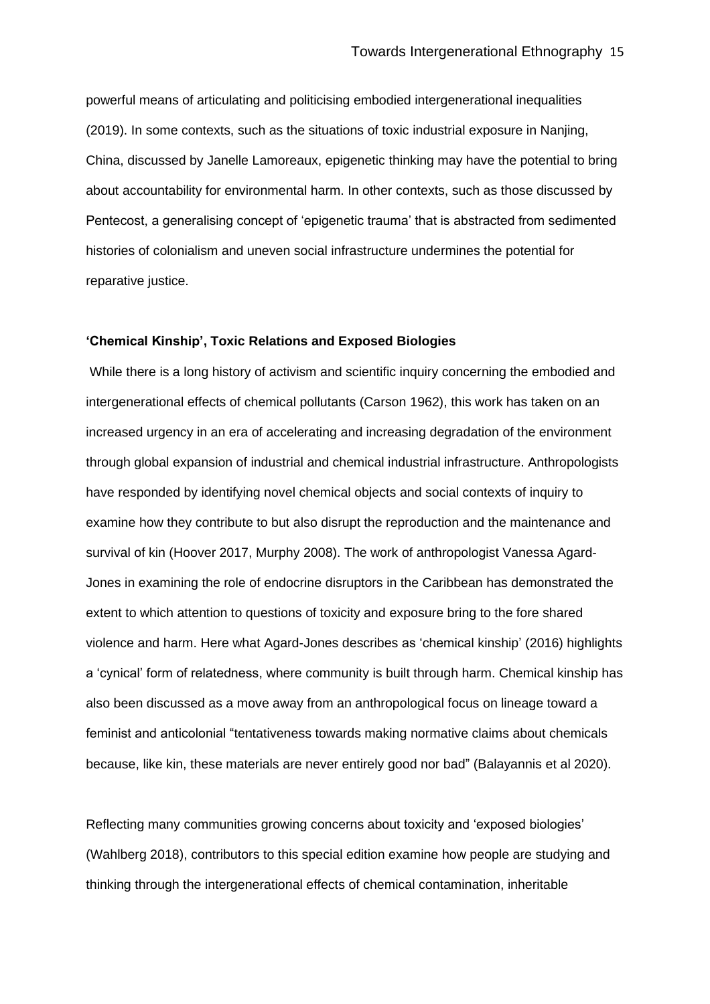powerful means of articulating and politicising embodied intergenerational inequalities (2019). In some contexts, such as the situations of toxic industrial exposure in Nanjing, China, discussed by Janelle Lamoreaux, epigenetic thinking may have the potential to bring about accountability for environmental harm. In other contexts, such as those discussed by Pentecost, a generalising concept of 'epigenetic trauma' that is abstracted from sedimented histories of colonialism and uneven social infrastructure undermines the potential for reparative justice.

#### **'Chemical Kinship', Toxic Relations and Exposed Biologies**

While there is a long history of activism and scientific inquiry concerning the embodied and intergenerational effects of chemical pollutants (Carson 1962), this work has taken on an increased urgency in an era of accelerating and increasing degradation of the environment through global expansion of industrial and chemical industrial infrastructure. Anthropologists have responded by identifying novel chemical objects and social contexts of inquiry to examine how they contribute to but also disrupt the reproduction and the maintenance and survival of kin (Hoover 2017, Murphy 2008). The work of anthropologist Vanessa Agard-Jones in examining the role of endocrine disruptors in the Caribbean has demonstrated the extent to which attention to questions of toxicity and exposure bring to the fore shared violence and harm. Here what Agard-Jones describes as 'chemical kinship' (2016) highlights a 'cynical' form of relatedness, where community is built through harm. Chemical kinship has also been discussed as a move away from an anthropological focus on lineage toward a feminist and anticolonial "tentativeness towards making normative claims about chemicals because, like kin, these materials are never entirely good nor bad" (Balayannis et al 2020).

Reflecting many communities growing concerns about toxicity and 'exposed biologies' (Wahlberg 2018), contributors to this special edition examine how people are studying and thinking through the intergenerational effects of chemical contamination, inheritable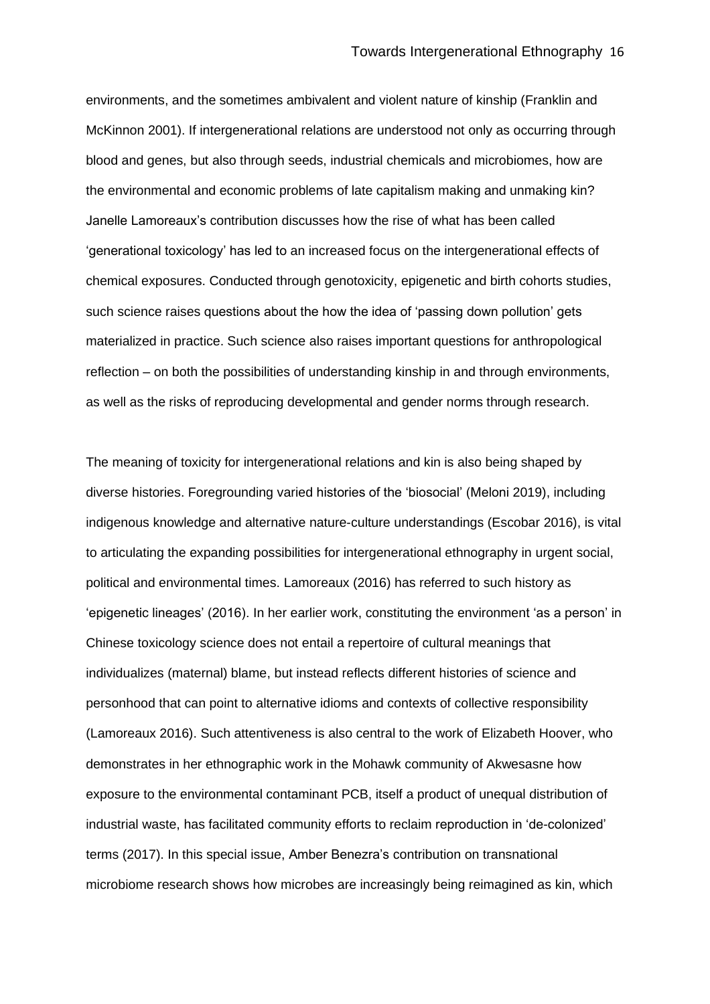environments, and the sometimes ambivalent and violent nature of kinship (Franklin and McKinnon 2001). If intergenerational relations are understood not only as occurring through blood and genes, but also through seeds, industrial chemicals and microbiomes, how are the environmental and economic problems of late capitalism making and unmaking kin? Janelle Lamoreaux's contribution discusses how the rise of what has been called 'generational toxicology' has led to an increased focus on the intergenerational effects of chemical exposures. Conducted through genotoxicity, epigenetic and birth cohorts studies, such science raises questions about the how the idea of 'passing down pollution' gets materialized in practice. Such science also raises important questions for anthropological reflection – on both the possibilities of understanding kinship in and through environments, as well as the risks of reproducing developmental and gender norms through research.

The meaning of toxicity for intergenerational relations and kin is also being shaped by diverse histories. Foregrounding varied histories of the 'biosocial' (Meloni 2019), including indigenous knowledge and alternative nature-culture understandings (Escobar 2016), is vital to articulating the expanding possibilities for intergenerational ethnography in urgent social, political and environmental times. Lamoreaux (2016) has referred to such history as 'epigenetic lineages' (2016). In her earlier work, constituting the environment 'as a person' in Chinese toxicology science does not entail a repertoire of cultural meanings that individualizes (maternal) blame, but instead reflects different histories of science and personhood that can point to alternative idioms and contexts of collective responsibility (Lamoreaux 2016). Such attentiveness is also central to the work of Elizabeth Hoover, who demonstrates in her ethnographic work in the Mohawk community of Akwesasne how exposure to the environmental contaminant PCB, itself a product of unequal distribution of industrial waste, has facilitated community efforts to reclaim reproduction in 'de-colonized' terms (2017). In this special issue, Amber Benezra's contribution on transnational microbiome research shows how microbes are increasingly being reimagined as kin, which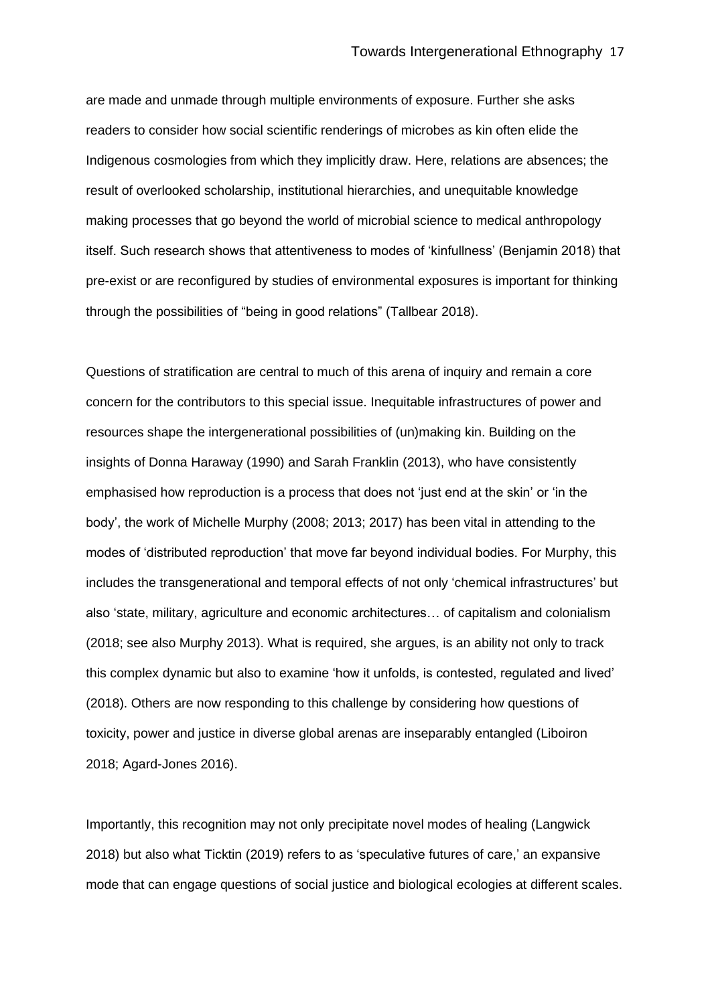are made and unmade through multiple environments of exposure. Further she asks readers to consider how social scientific renderings of microbes as kin often elide the Indigenous cosmologies from which they implicitly draw. Here, relations are absences; the result of overlooked scholarship, institutional hierarchies, and unequitable knowledge making processes that go beyond the world of microbial science to medical anthropology itself. Such research shows that attentiveness to modes of 'kinfullness' (Benjamin 2018) that pre-exist or are reconfigured by studies of environmental exposures is important for thinking through the possibilities of "being in good relations" (Tallbear 2018).

Questions of stratification are central to much of this arena of inquiry and remain a core concern for the contributors to this special issue. Inequitable infrastructures of power and resources shape the intergenerational possibilities of (un)making kin. Building on the insights of Donna Haraway (1990) and Sarah Franklin (2013), who have consistently emphasised how reproduction is a process that does not 'just end at the skin' or 'in the body', the work of Michelle Murphy (2008; 2013; 2017) has been vital in attending to the modes of 'distributed reproduction' that move far beyond individual bodies. For Murphy, this includes the transgenerational and temporal effects of not only 'chemical infrastructures' but also 'state, military, agriculture and economic architectures… of capitalism and colonialism (2018; see also Murphy 2013). What is required, she argues, is an ability not only to track this complex dynamic but also to examine 'how it unfolds, is contested, regulated and lived' (2018). Others are now responding to this challenge by considering how questions of toxicity, power and justice in diverse global arenas are inseparably entangled (Liboiron 2018; Agard-Jones 2016).

Importantly, this recognition may not only precipitate novel modes of healing (Langwick 2018) but also what Ticktin (2019) refers to as 'speculative futures of care,' an expansive mode that can engage questions of social justice and biological ecologies at different scales.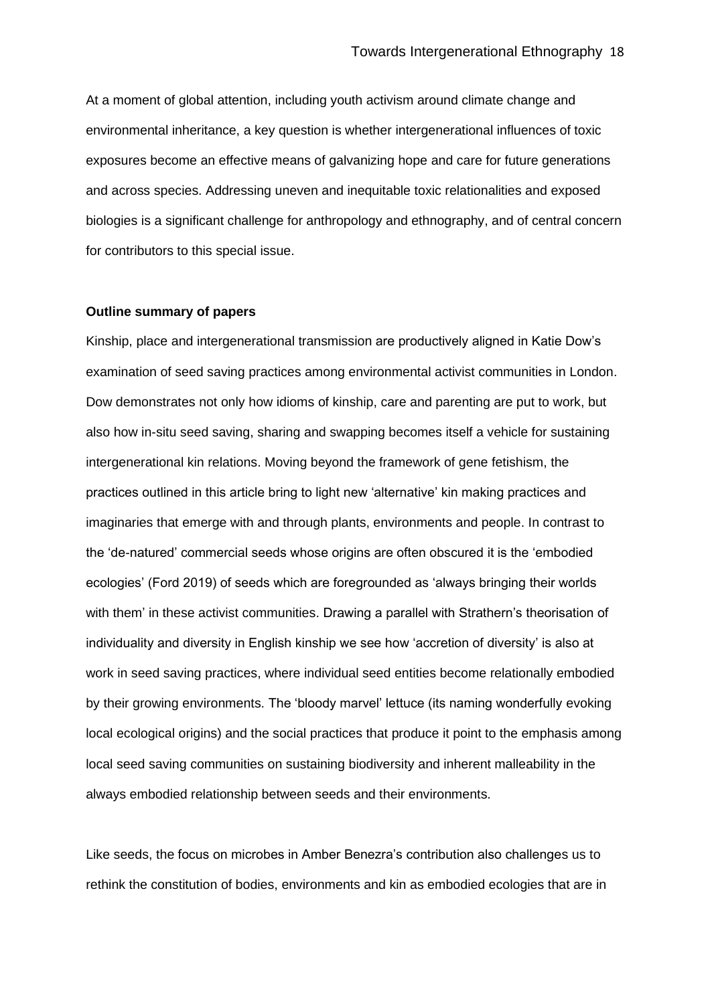At a moment of global attention, including youth activism around climate change and environmental inheritance, a key question is whether intergenerational influences of toxic exposures become an effective means of galvanizing hope and care for future generations and across species. Addressing uneven and inequitable toxic relationalities and exposed biologies is a significant challenge for anthropology and ethnography, and of central concern for contributors to this special issue.

### **Outline summary of papers**

Kinship, place and intergenerational transmission are productively aligned in Katie Dow's examination of seed saving practices among environmental activist communities in London. Dow demonstrates not only how idioms of kinship, care and parenting are put to work, but also how in-situ seed saving, sharing and swapping becomes itself a vehicle for sustaining intergenerational kin relations. Moving beyond the framework of gene fetishism, the practices outlined in this article bring to light new 'alternative' kin making practices and imaginaries that emerge with and through plants, environments and people. In contrast to the 'de-natured' commercial seeds whose origins are often obscured it is the 'embodied ecologies' (Ford 2019) of seeds which are foregrounded as 'always bringing their worlds with them' in these activist communities. Drawing a parallel with Strathern's theorisation of individuality and diversity in English kinship we see how 'accretion of diversity' is also at work in seed saving practices, where individual seed entities become relationally embodied by their growing environments. The 'bloody marvel' lettuce (its naming wonderfully evoking local ecological origins) and the social practices that produce it point to the emphasis among local seed saving communities on sustaining biodiversity and inherent malleability in the always embodied relationship between seeds and their environments.

Like seeds, the focus on microbes in Amber Benezra's contribution also challenges us to rethink the constitution of bodies, environments and kin as embodied ecologies that are in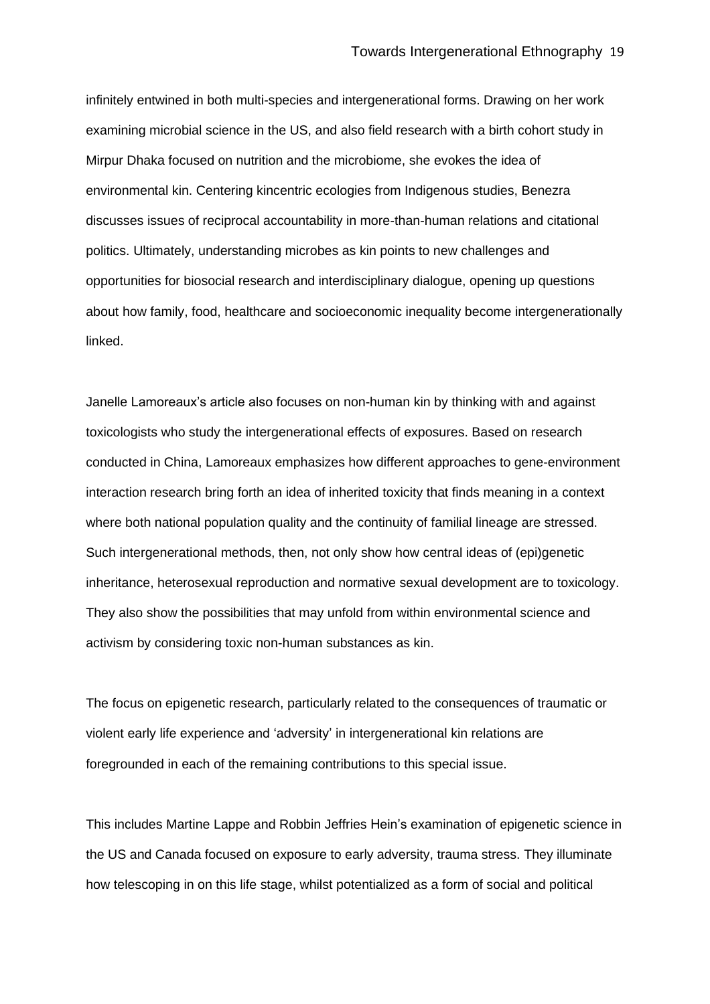infinitely entwined in both multi-species and intergenerational forms. Drawing on her work examining microbial science in the US, and also field research with a birth cohort study in Mirpur Dhaka focused on nutrition and the microbiome, she evokes the idea of environmental kin. Centering kincentric ecologies from Indigenous studies, Benezra discusses issues of reciprocal accountability in more-than-human relations and citational politics. Ultimately, understanding microbes as kin points to new challenges and opportunities for biosocial research and interdisciplinary dialogue, opening up questions about how family, food, healthcare and socioeconomic inequality become intergenerationally linked.

Janelle Lamoreaux's article also focuses on non-human kin by thinking with and against toxicologists who study the intergenerational effects of exposures. Based on research conducted in China, Lamoreaux emphasizes how different approaches to gene-environment interaction research bring forth an idea of inherited toxicity that finds meaning in a context where both national population quality and the continuity of familial lineage are stressed. Such intergenerational methods, then, not only show how central ideas of (epi)genetic inheritance, heterosexual reproduction and normative sexual development are to toxicology. They also show the possibilities that may unfold from within environmental science and activism by considering toxic non-human substances as kin.

The focus on epigenetic research, particularly related to the consequences of traumatic or violent early life experience and 'adversity' in intergenerational kin relations are foregrounded in each of the remaining contributions to this special issue.

This includes Martine Lappe and Robbin Jeffries Hein's examination of epigenetic science in the US and Canada focused on exposure to early adversity, trauma stress. They illuminate how telescoping in on this life stage, whilst potentialized as a form of social and political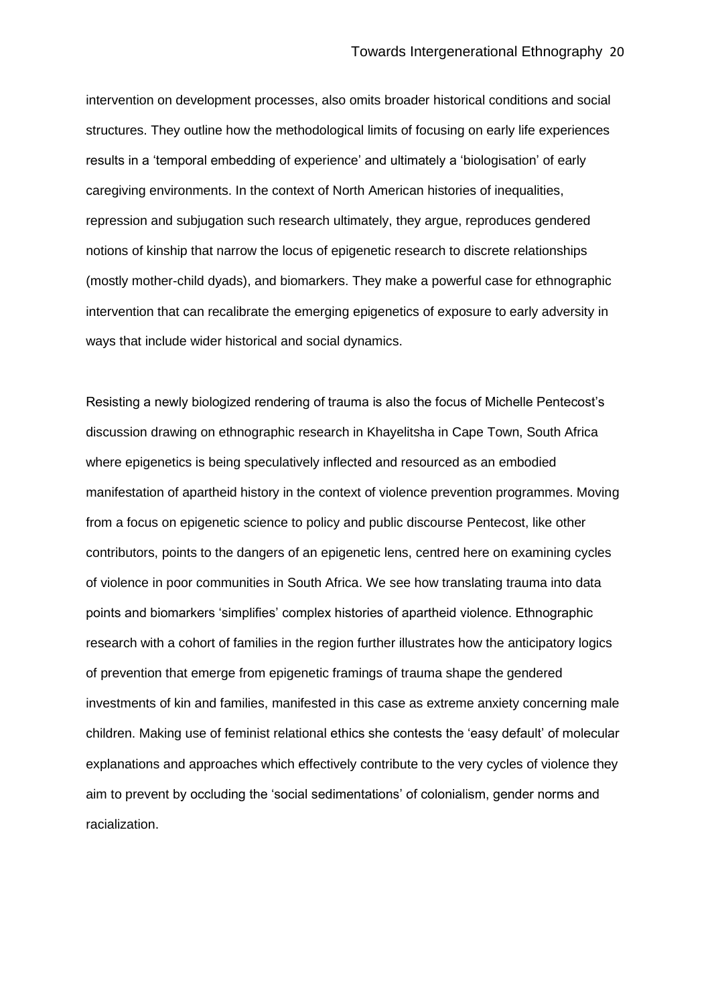intervention on development processes, also omits broader historical conditions and social structures. They outline how the methodological limits of focusing on early life experiences results in a 'temporal embedding of experience' and ultimately a 'biologisation' of early caregiving environments. In the context of North American histories of inequalities, repression and subjugation such research ultimately, they argue, reproduces gendered notions of kinship that narrow the locus of epigenetic research to discrete relationships (mostly mother-child dyads), and biomarkers. They make a powerful case for ethnographic intervention that can recalibrate the emerging epigenetics of exposure to early adversity in ways that include wider historical and social dynamics.

Resisting a newly biologized rendering of trauma is also the focus of Michelle Pentecost's discussion drawing on ethnographic research in Khayelitsha in Cape Town, South Africa where epigenetics is being speculatively inflected and resourced as an embodied manifestation of apartheid history in the context of violence prevention programmes. Moving from a focus on epigenetic science to policy and public discourse Pentecost, like other contributors, points to the dangers of an epigenetic lens, centred here on examining cycles of violence in poor communities in South Africa. We see how translating trauma into data points and biomarkers 'simplifies' complex histories of apartheid violence. Ethnographic research with a cohort of families in the region further illustrates how the anticipatory logics of prevention that emerge from epigenetic framings of trauma shape the gendered investments of kin and families, manifested in this case as extreme anxiety concerning male children. Making use of feminist relational ethics she contests the 'easy default' of molecular explanations and approaches which effectively contribute to the very cycles of violence they aim to prevent by occluding the 'social sedimentations' of colonialism, gender norms and racialization.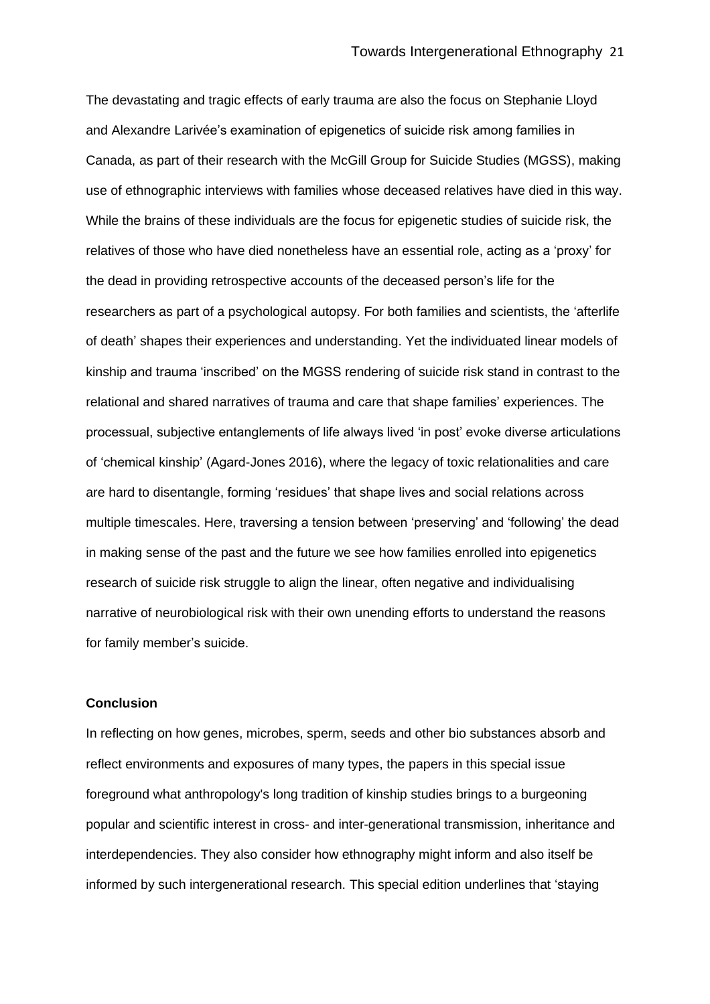The devastating and tragic effects of early trauma are also the focus on Stephanie Lloyd and Alexandre Larivée's examination of epigenetics of suicide risk among families in Canada, as part of their research with the McGill Group for Suicide Studies (MGSS), making use of ethnographic interviews with families whose deceased relatives have died in this way. While the brains of these individuals are the focus for epigenetic studies of suicide risk, the relatives of those who have died nonetheless have an essential role, acting as a 'proxy' for the dead in providing retrospective accounts of the deceased person's life for the researchers as part of a psychological autopsy. For both families and scientists, the 'afterlife of death' shapes their experiences and understanding. Yet the individuated linear models of kinship and trauma 'inscribed' on the MGSS rendering of suicide risk stand in contrast to the relational and shared narratives of trauma and care that shape families' experiences. The processual, subjective entanglements of life always lived 'in post' evoke diverse articulations of 'chemical kinship' (Agard-Jones 2016), where the legacy of toxic relationalities and care are hard to disentangle, forming 'residues' that shape lives and social relations across multiple timescales. Here, traversing a tension between 'preserving' and 'following' the dead in making sense of the past and the future we see how families enrolled into epigenetics research of suicide risk struggle to align the linear, often negative and individualising narrative of neurobiological risk with their own unending efforts to understand the reasons for family member's suicide.

#### **Conclusion**

In reflecting on how genes, microbes, sperm, seeds and other bio substances absorb and reflect environments and exposures of many types, the papers in this special issue foreground what anthropology's long tradition of kinship studies brings to a burgeoning popular and scientific interest in cross- and inter-generational transmission, inheritance and interdependencies. They also consider how ethnography might inform and also itself be informed by such intergenerational research. This special edition underlines that 'staying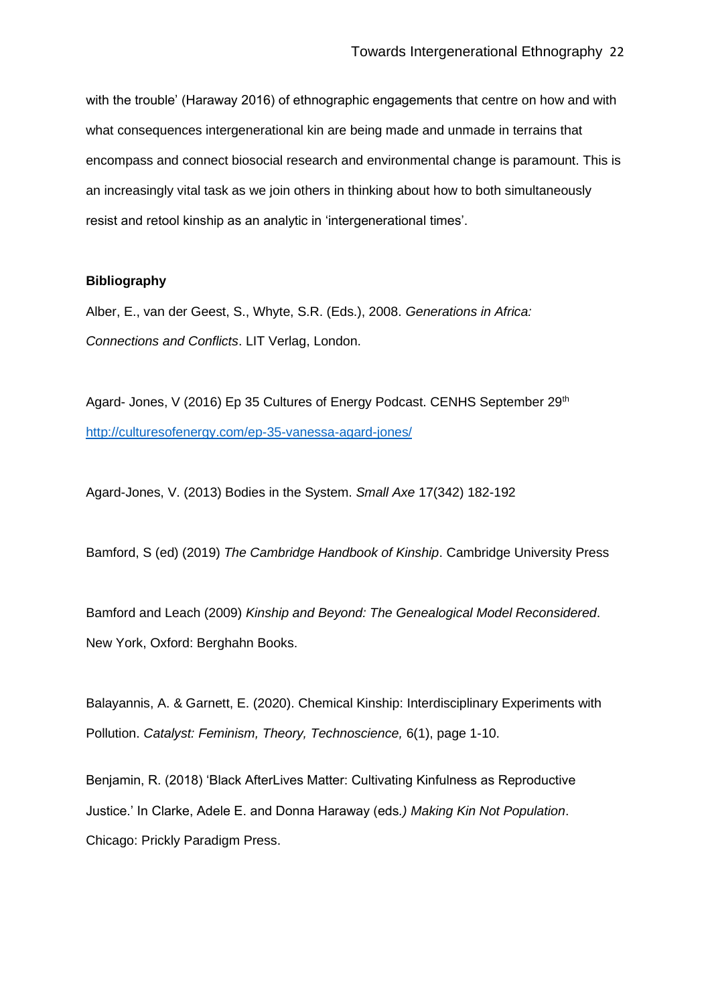with the trouble' (Haraway 2016) of ethnographic engagements that centre on how and with what consequences intergenerational kin are being made and unmade in terrains that encompass and connect biosocial research and environmental change is paramount. This is an increasingly vital task as we join others in thinking about how to both simultaneously resist and retool kinship as an analytic in 'intergenerational times'.

## **Bibliography**

Alber, E., van der Geest, S., Whyte, S.R. (Eds.), 2008. *Generations in Africa: Connections and Conflicts*. LIT Verlag, London.

Agard- Jones, V (2016) Ep 35 Cultures of Energy Podcast. CENHS September 29<sup>th</sup> <http://culturesofenergy.com/ep-35-vanessa-agard-jones/>

Agard-Jones, V. (2013) Bodies in the System. *Small Axe* 17(342) 182-192

Bamford, S (ed) (2019) *The Cambridge Handbook of Kinship*. Cambridge University Press

Bamford and Leach (2009) *Kinship and Beyond: The Genealogical Model Reconsidered*. New York, Oxford: Berghahn Books.

Balayannis, A. & Garnett, E. (2020). Chemical Kinship: Interdisciplinary Experiments with Pollution. *Catalyst: Feminism, Theory, Technoscience,* 6(1), page 1-10.

Benjamin, R. (2018) 'Black AfterLives Matter: Cultivating Kinfulness as Reproductive Justice.' In Clarke, Adele E. and Donna Haraway (eds*.) Making Kin Not Population*. Chicago: Prickly Paradigm Press.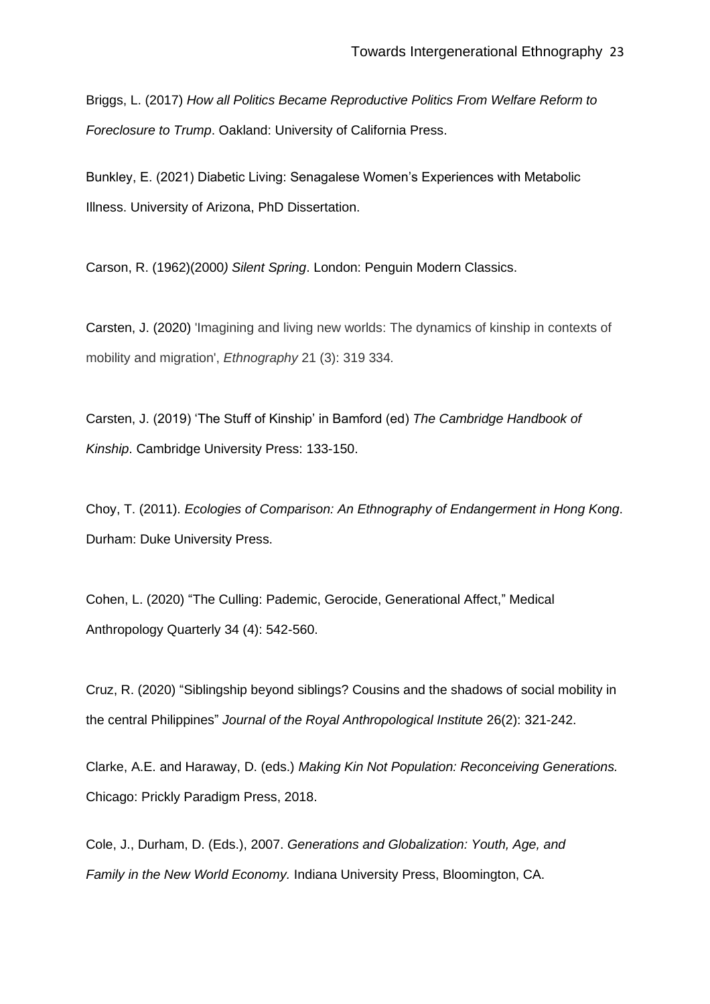Briggs, L. (2017) *How all Politics Became Reproductive Politics From Welfare Reform to Foreclosure to Trump*. Oakland: University of California Press.

Bunkley, E. (2021) Diabetic Living: Senagalese Women's Experiences with Metabolic Illness. University of Arizona, PhD Dissertation.

Carson, R. (1962)(2000*) Silent Spring*. London: Penguin Modern Classics.

Carsten, J. (2020) 'Imagining and living new worlds: The dynamics of kinship in contexts of mobility and migration', *Ethnography* 21 (3): 319 334*.*

Carsten, J. (2019) 'The Stuff of Kinship' in Bamford (ed) *The Cambridge Handbook of Kinship*. Cambridge University Press: 133-150.

Choy, T. (2011). *Ecologies of Comparison: An Ethnography of Endangerment in Hong Kong*. Durham: Duke University Press.

Cohen, L. (2020) "The Culling: Pademic, Gerocide, Generational Affect," Medical Anthropology Quarterly 34 (4): 542-560.

Cruz, R. (2020) "Siblingship beyond siblings? Cousins and the shadows of social mobility in the central Philippines" *Journal of the Royal Anthropological Institute* 26(2): 321-242.

Clarke, A.E. and Haraway, D. (eds.) *Making Kin Not Population: Reconceiving Generations.* Chicago: Prickly Paradigm Press, 2018.

Cole, J., Durham, D. (Eds.), 2007. *Generations and Globalization: Youth, Age, and Family in the New World Economy.* Indiana University Press, Bloomington, CA.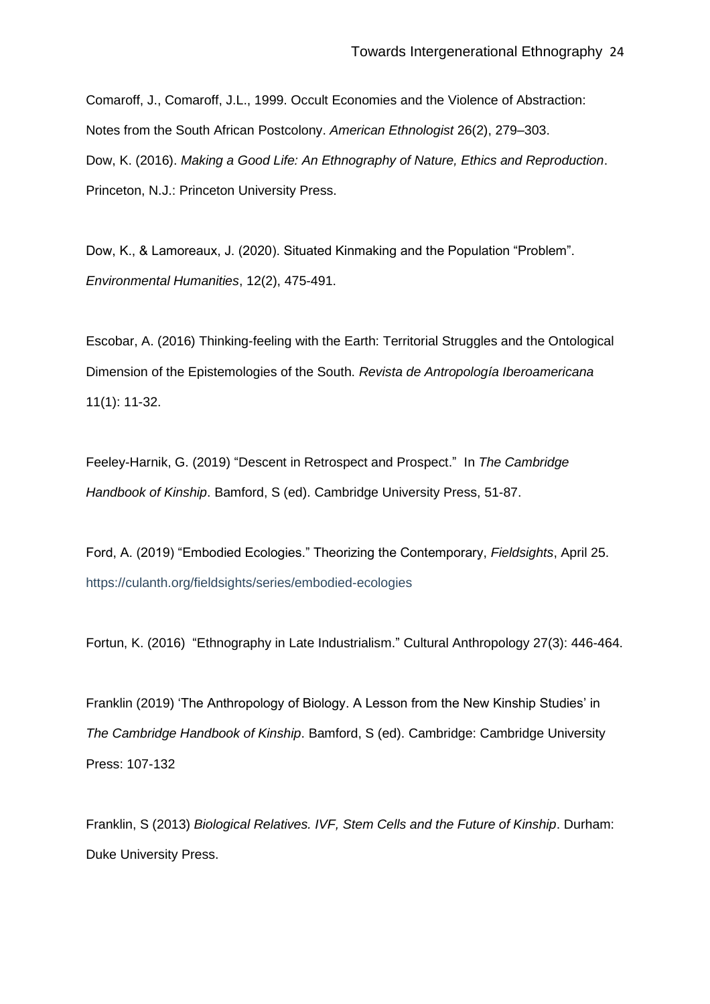Comaroff, J., Comaroff, J.L., 1999. Occult Economies and the Violence of Abstraction: Notes from the South African Postcolony. *American Ethnologist* 26(2), 279–303. Dow, K. (2016). *Making a Good Life: An Ethnography of Nature, Ethics and Reproduction*. Princeton, N.J.: Princeton University Press.

Dow, K., & Lamoreaux, J. (2020). Situated Kinmaking and the Population "Problem". *Environmental Humanities*, 12(2), 475-491.

Escobar, A. (2016) Thinking-feeling with the Earth: Territorial Struggles and the Ontological Dimension of the Epistemologies of the South. *Revista de Antropología Iberoamericana* 11(1): 11-32.

Feeley-Harnik, G. (2019) "Descent in Retrospect and Prospect." In *The Cambridge Handbook of Kinship*. Bamford, S (ed). Cambridge University Press, 51-87.

Ford, A. (2019) "Embodied Ecologies." Theorizing the Contemporary, *Fieldsights*, April 25. https://culanth.org/fieldsights/series/embodied-ecologies

Fortun, K. (2016) "Ethnography in Late Industrialism." Cultural Anthropology 27(3): 446-464.

Franklin (2019) 'The Anthropology of Biology. A Lesson from the New Kinship Studies' in *The Cambridge Handbook of Kinship*. Bamford, S (ed). Cambridge: Cambridge University Press: 107-132

Franklin, S (2013) *Biological Relatives. IVF, Stem Cells and the Future of Kinship*. Durham: Duke University Press.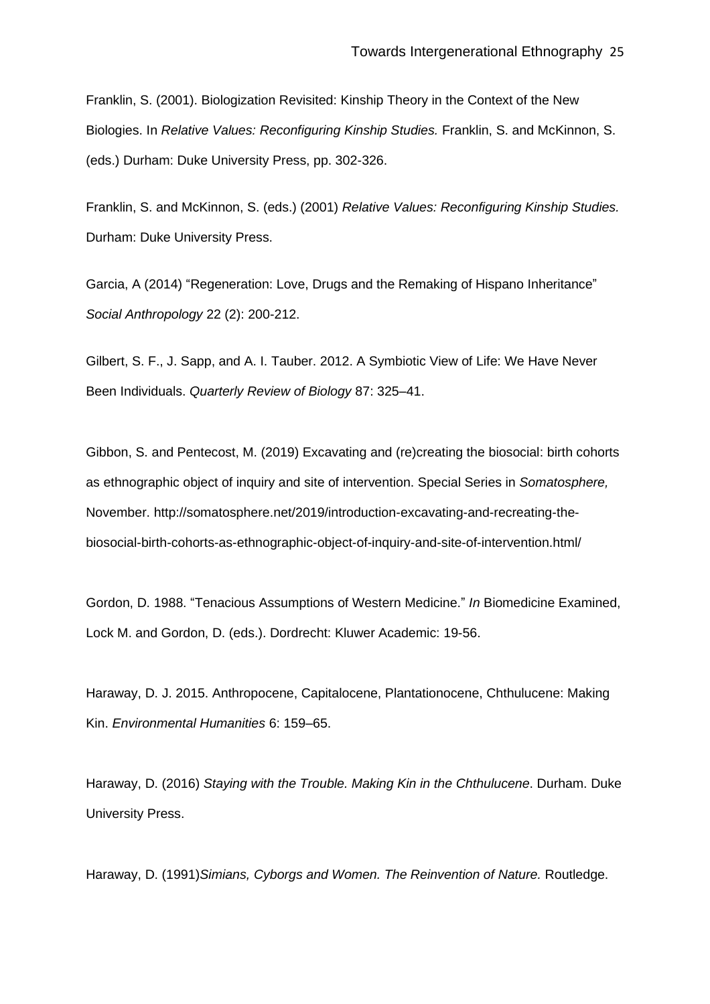Franklin, S. (2001). Biologization Revisited: Kinship Theory in the Context of the New Biologies. In *Relative Values: Reconfiguring Kinship Studies.* Franklin, S. and McKinnon, S. (eds.) Durham: Duke University Press, pp. 302-326.

Franklin, S. and McKinnon, S. (eds.) (2001) *Relative Values: Reconfiguring Kinship Studies.* Durham: Duke University Press.

Garcia, A (2014) "Regeneration: Love, Drugs and the Remaking of Hispano Inheritance" *Social Anthropology* 22 (2): 200-212.

Gilbert, S. F., J. Sapp, and A. I. Tauber. 2012. A Symbiotic View of Life: We Have Never Been Individuals. *Quarterly Review of Biology* 87: 325–41.

Gibbon, S. and Pentecost, M. (2019) Excavating and (re)creating the biosocial: birth cohorts as ethnographic object of inquiry and site of intervention. Special Series in *Somatosphere,* November. http://somatosphere.net/2019/introduction-excavating-and-recreating-thebiosocial-birth-cohorts-as-ethnographic-object-of-inquiry-and-site-of-intervention.html/

Gordon, D. 1988. "Tenacious Assumptions of Western Medicine." *In* Biomedicine Examined, Lock M. and Gordon, D. (eds.). Dordrecht: Kluwer Academic: 19-56.

Haraway, D. J. 2015. Anthropocene, Capitalocene, Plantationocene, Chthulucene: Making Kin. *Environmental Humanities* 6: 159–65.

Haraway, D. (2016) *Staying with the Trouble. Making Kin in the Chthulucene*. Durham. Duke University Press.

Haraway, D. (1991)*Simians, Cyborgs and Women. The Reinvention of Nature.* Routledge.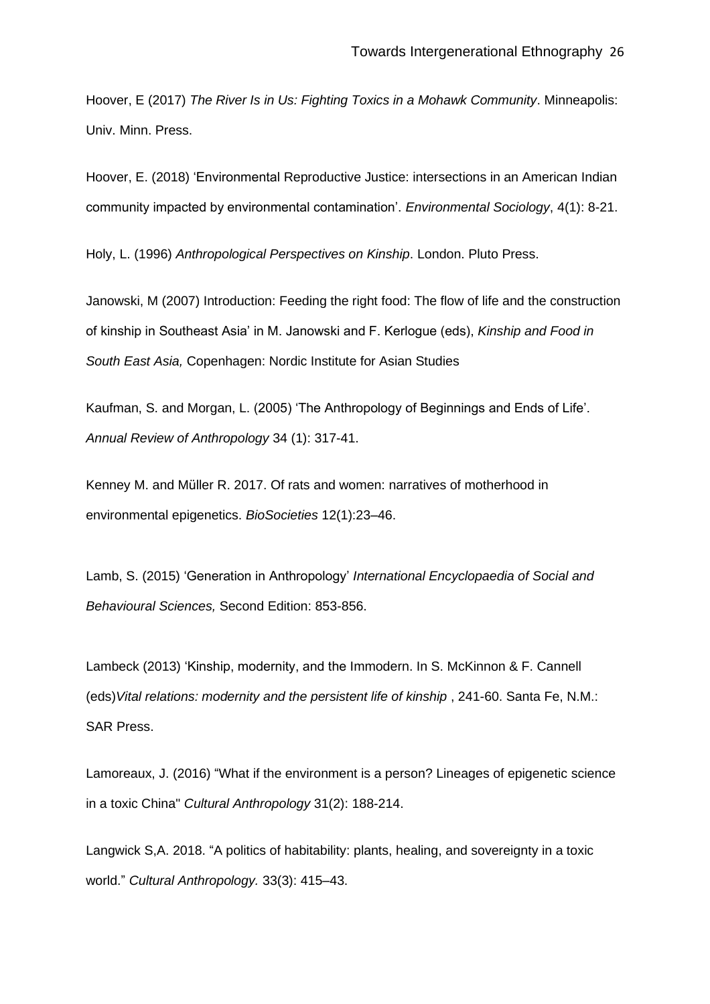Hoover, E (2017) *The River Is in Us: Fighting Toxics in a Mohawk Community*. Minneapolis: Univ. Minn. Press.

Hoover, E. (2018) 'Environmental Reproductive Justice: intersections in an American Indian community impacted by environmental contamination'. *Environmental Sociology*, 4(1): 8-21.

Holy, L. (1996) *Anthropological Perspectives on Kinship*. London. Pluto Press.

Janowski, M (2007) Introduction: Feeding the right food: The flow of life and the construction of kinship in Southeast Asia' in M. Janowski and F. Kerlogue (eds), *Kinship and Food in South East Asia,* Copenhagen: Nordic Institute for Asian Studies

Kaufman, S. and Morgan, L. (2005) 'The Anthropology of Beginnings and Ends of Life'. *Annual Review of Anthropology* 34 (1): 317-41.

Kenney M. and Müller R. 2017. Of rats and women: narratives of motherhood in environmental epigenetics. *BioSocieties* 12(1):23–46.

Lamb, S. (2015) 'Generation in Anthropology' *International Encyclopaedia of Social and Behavioural Sciences,* Second Edition: 853-856.

Lambeck (2013) 'Kinship, modernity, and the Immodern. In S. McKinnon & F. Cannell (eds)*Vital relations: modernity and the persistent life of kinship* , 241-60. Santa Fe, N.M.: SAR Press.

Lamoreaux, J. (2016) "What if the environment is a person? Lineages of epigenetic science in a toxic China" *Cultural Anthropology* 31(2): 188-214.

Langwick S,A. 2018. "A politics of habitability: plants, healing, and sovereignty in a toxic world." *Cultural Anthropology.* 33(3): 415–43.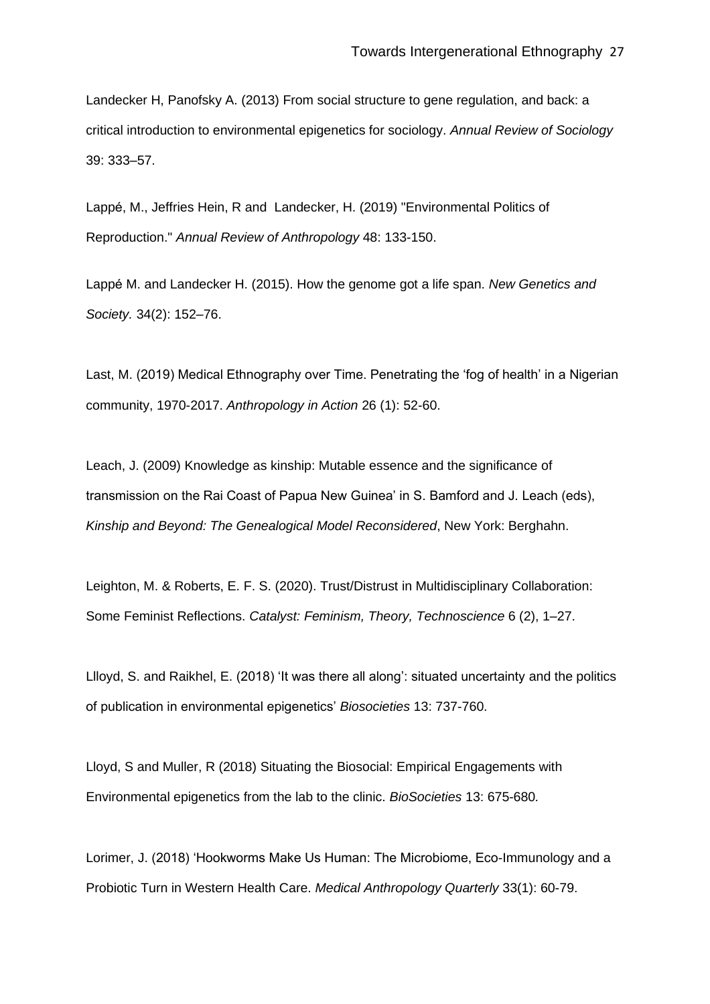Landecker H, Panofsky A. (2013) From social structure to gene regulation, and back: a critical introduction to environmental epigenetics for sociology. *Annual Review of Sociology* 39: 333–57.

Lappé, M., Jeffries Hein, R and Landecker, H. (2019) "Environmental Politics of Reproduction." *Annual Review of Anthropology* 48: 133-150.

Lappé M. and Landecker H. (2015). How the genome got a life span. *New Genetics and Society.* 34(2): 152–76.

Last, M. (2019) Medical Ethnography over Time. Penetrating the 'fog of health' in a Nigerian community, 1970-2017. *Anthropology in Action* 26 (1): 52-60.

Leach, J. (2009) Knowledge as kinship: Mutable essence and the significance of transmission on the Rai Coast of Papua New Guinea' in S. Bamford and J. Leach (eds), *Kinship and Beyond: The Genealogical Model Reconsidered*, New York: Berghahn.

Leighton, M. & Roberts, E. F. S. (2020). Trust/Distrust in Multidisciplinary Collaboration: Some Feminist Reflections. *Catalyst: Feminism, Theory, Technoscience* 6 (2), 1–27.

Llloyd, S. and Raikhel, E. (2018) 'It was there all along': situated uncertainty and the politics of publication in environmental epigenetics' *Biosocieties* 13: 737-760.

Lloyd, S and Muller, R (2018) Situating the Biosocial: Empirical Engagements with Environmental epigenetics from the lab to the clinic. *BioSocieties* 13: 675-680*.*

Lorimer, J. (2018) 'Hookworms Make Us Human: The Microbiome, Eco-Immunology and a Probiotic Turn in Western Health Care. *Medical Anthropology Quarterly* 33(1): 60-79.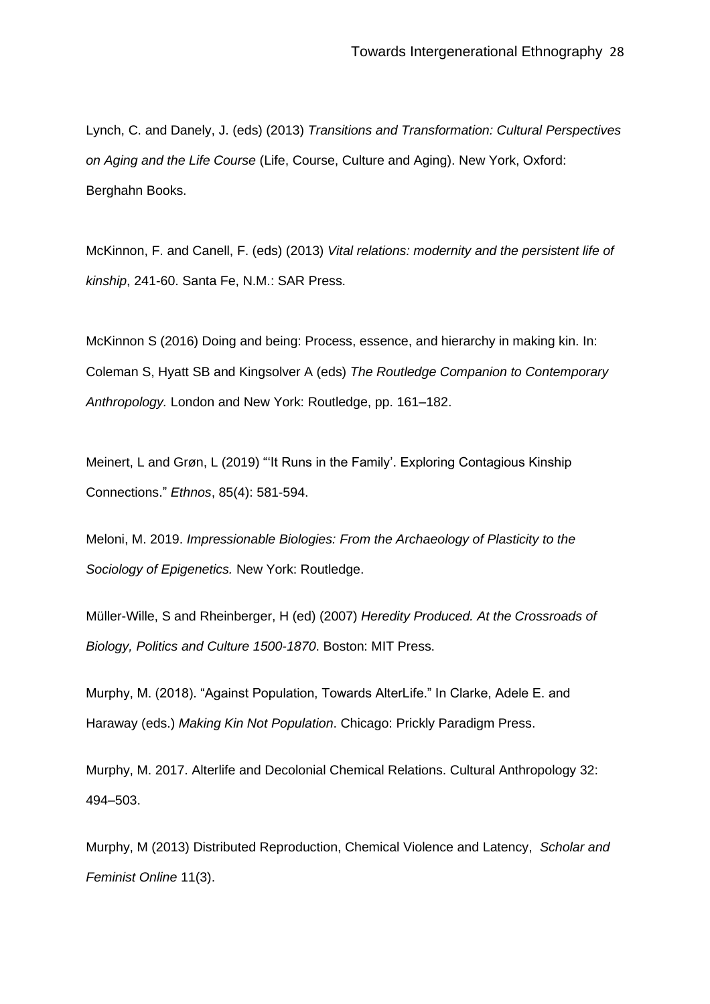Lynch, C. and Danely, J. (eds) (2013) *Transitions and Transformation: Cultural Perspectives on Aging and the Life Course* (Life, Course, Culture and Aging). New York, Oxford: Berghahn Books.

McKinnon, F. and Canell, F. (eds) (2013) *Vital relations: modernity and the persistent life of kinship*, 241-60. Santa Fe, N.M.: SAR Press.

McKinnon S (2016) Doing and being: Process, essence, and hierarchy in making kin. In: Coleman S, Hyatt SB and Kingsolver A (eds) *The Routledge Companion to Contemporary Anthropology.* London and New York: Routledge, pp. 161–182.

Meinert, L and Grøn, L (2019) "'It Runs in the Family'. Exploring Contagious Kinship Connections." *Ethnos*, 85(4): 581-594.

Meloni, M. 2019. *Impressionable Biologies: From the Archaeology of Plasticity to the Sociology of Epigenetics.* New York: Routledge.

Müller-Wille, S and Rheinberger, H (ed) (2007) *Heredity Produced. At the Crossroads of Biology, Politics and Culture 1500-1870*. Boston: MIT Press.

Murphy, M. (2018). "Against Population, Towards AlterLife." In Clarke, Adele E. and Haraway (eds.) *Making Kin Not Population*. Chicago: Prickly Paradigm Press.

Murphy, M. 2017. Alterlife and Decolonial Chemical Relations. Cultural Anthropology 32: 494–503.

Murphy, M (2013) Distributed Reproduction, Chemical Violence and Latency, *Scholar and Feminist Online* 11(3).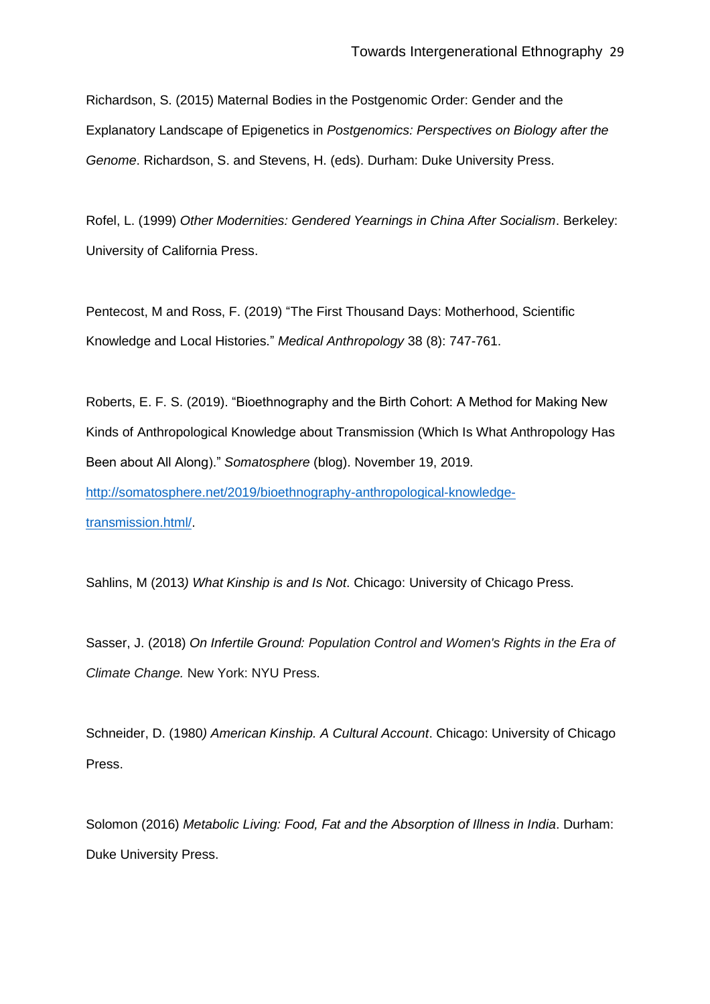Richardson, S. (2015) Maternal Bodies in the Postgenomic Order: Gender and the Explanatory Landscape of Epigenetics in *Postgenomics: Perspectives on Biology after the Genome*. Richardson, S. and Stevens, H. (eds). Durham: Duke University Press.

Rofel, L. (1999) *Other Modernities: Gendered Yearnings in China After Socialism*. Berkeley: University of California Press.

Pentecost, M and Ross, F. (2019) "The First Thousand Days: Motherhood, Scientific Knowledge and Local Histories." *Medical Anthropology* 38 (8): 747-761.

Roberts, E. F. S. (2019). "Bioethnography and the Birth Cohort: A Method for Making New Kinds of Anthropological Knowledge about Transmission (Which Is What Anthropology Has Been about All Along)." *Somatosphere* (blog). November 19, 2019. [http://somatosphere.net/2019/bioethnography-anthropological-knowledge](http://somatosphere.net/2019/bioethnography-anthropological-knowledge-transmission.html/)[transmission.html/.](http://somatosphere.net/2019/bioethnography-anthropological-knowledge-transmission.html/)

Sahlins, M (2013*) What Kinship is and Is Not*. Chicago: University of Chicago Press.

Sasser, J. (2018) *On Infertile Ground: Population Control and Women's Rights in the Era of Climate Change.* New York: NYU Press.

Schneider, D. (1980*) American Kinship. A Cultural Account*. Chicago: University of Chicago Press.

Solomon (2016) *Metabolic Living: Food, Fat and the Absorption of Illness in India*. Durham: Duke University Press.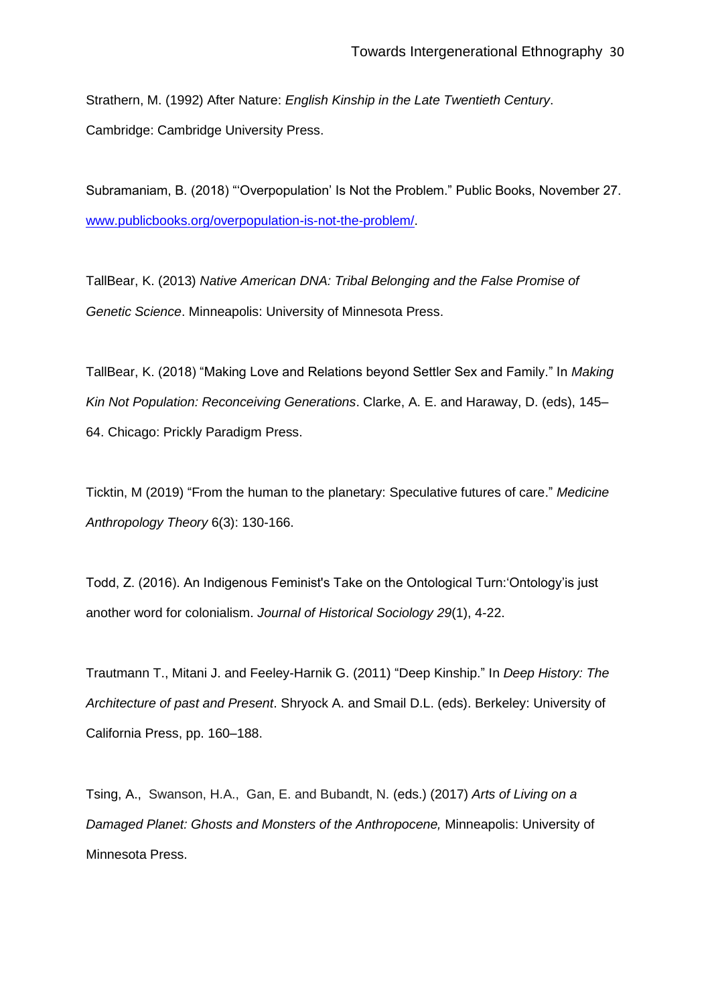Strathern, M. (1992) After Nature: *English Kinship in the Late Twentieth Century*. Cambridge: Cambridge University Press.

Subramaniam, B. (2018) "'Overpopulation' Is Not the Problem." Public Books, November 27. [www.publicbooks.org/overpopulation-is-not-the-problem/.](http://www.publicbooks.org/overpopulation-is-not-the-problem/)

TallBear, K. (2013) *Native American DNA: Tribal Belonging and the False Promise of Genetic Science*. Minneapolis: University of Minnesota Press.

TallBear, K. (2018) "Making Love and Relations beyond Settler Sex and Family." In *Making Kin Not Population: Reconceiving Generations*. Clarke, A. E. and Haraway, D. (eds), 145– 64. Chicago: Prickly Paradigm Press.

Ticktin, M (2019) "From the human to the planetary: Speculative futures of care." *Medicine Anthropology Theory* 6(3): 130-166.

Todd, Z. (2016). An Indigenous Feminist's Take on the Ontological Turn:'Ontology'is just another word for colonialism. *Journal of Historical Sociology 29*(1), 4-22.

Trautmann T., Mitani J. and Feeley-Harnik G. (2011) "Deep Kinship." In *Deep History: The Architecture of past and Present*. Shryock A. and Smail D.L. (eds). Berkeley: University of California Press, pp. 160–188.

Tsing, A., Swanson, H.A., Gan, E. and Bubandt, N. (eds.) (2017) *Arts of Living on a Damaged Planet: Ghosts and Monsters of the Anthropocene,* Minneapolis: University of Minnesota Press.